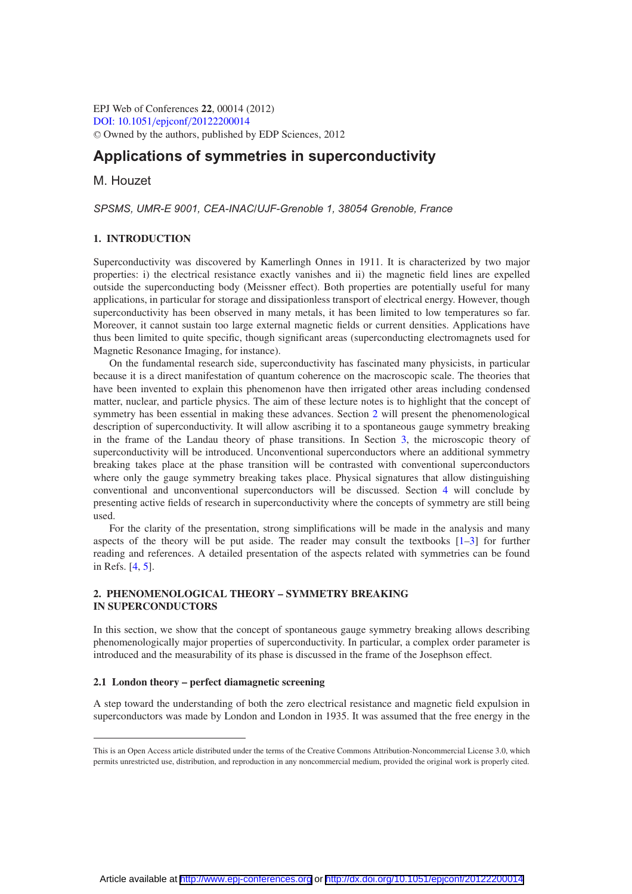EPJ Web of Conferences **22**, 00014 (2012) [DOI: 10.1051](http://dx.doi.org/10.1051/epjconf/20122200014)/epjconf/20122200014 <sup>C</sup> Owned by the authors, published by EDP Sciences, 2012

# **Applications of symmetries in superconductivity**

M. Houzet

*SPSMS, UMR-E 9001, CEA-INAC/UJF-Grenoble 1, 38054 Grenoble, France*

## **1. INTRODUCTION**

Superconductivity was discovered by Kamerlingh Onnes in 1911. It is characterized by two major properties: i) the electrical resistance exactly vanishes and ii) the magnetic field lines are expelled outside the superconducting body (Meissner effect). Both properties are potentially useful for many applications, in particular for storage and dissipationless transport of electrical energy. However, though superconductivity has been observed in many metals, it has been limited to low temperatures so far. Moreover, it cannot sustain too large external magnetic fields or current densities. Applications have thus been limited to quite specific, though significant areas (superconducting electromagnets used for Magnetic Resonance Imaging, for instance).

On the fundamental research side, superconductivity has fascinated many physicists, in particular because it is a direct manifestation of quantum coherence on the macroscopic scale. The theories that have been invented to explain this phenomenon have then irrigated other areas including condensed matter, nuclear, and particle physics. The aim of these lecture notes is to highlight that the concept of symmetry has been essential in making these advances. Section [2](#page-0-0) will present the phenomenological description of superconductivity. It will allow ascribing it to a spontaneous gauge symmetry breaking in the frame of the Landau theory of phase transitions. In Section [3,](#page-8-0) the microscopic theory of superconductivity will be introduced. Unconventional superconductors where an additional symmetry breaking takes place at the phase transition will be contrasted with conventional superconductors where only the gauge symmetry breaking takes place. Physical signatures that allow distinguishing conventional and unconventional superconductors will be discussed. Section [4](#page-22-0) will conclude by presenting active fields of research in superconductivity where the concepts of symmetry are still being used.

For the clarity of the presentation, strong simplifications will be made in the analysis and many aspects of the theory will be put aside. The reader may consult the textbooks  $[1-3]$  $[1-3]$  for further reading and references. A detailed presentation of the aspects related with symmetries can be found in Refs. [\[4,](#page-23-2) [5\]](#page-23-3).

## <span id="page-0-0"></span>**2. PHENOMENOLOGICAL THEORY – SYMMETRY BREAKING IN SUPERCONDUCTORS**

In this section, we show that the concept of spontaneous gauge symmetry breaking allows describing phenomenologically major properties of superconductivity. In particular, a complex order parameter is introduced and the measurability of its phase is discussed in the frame of the Josephson effect.

## <span id="page-0-1"></span>**2.1 London theory – perfect diamagnetic screening**

A step toward the understanding of both the zero electrical resistance and magnetic field expulsion in superconductors was made by London and London in 1935. It was assumed that the free energy in the

This is an Open Access article distributed under the terms of the Creative Commons Attribution-Noncommercial License 3.0, which permits unrestricted use, distribution, and reproduction in any noncommercial medium, provided the original work is properly cited.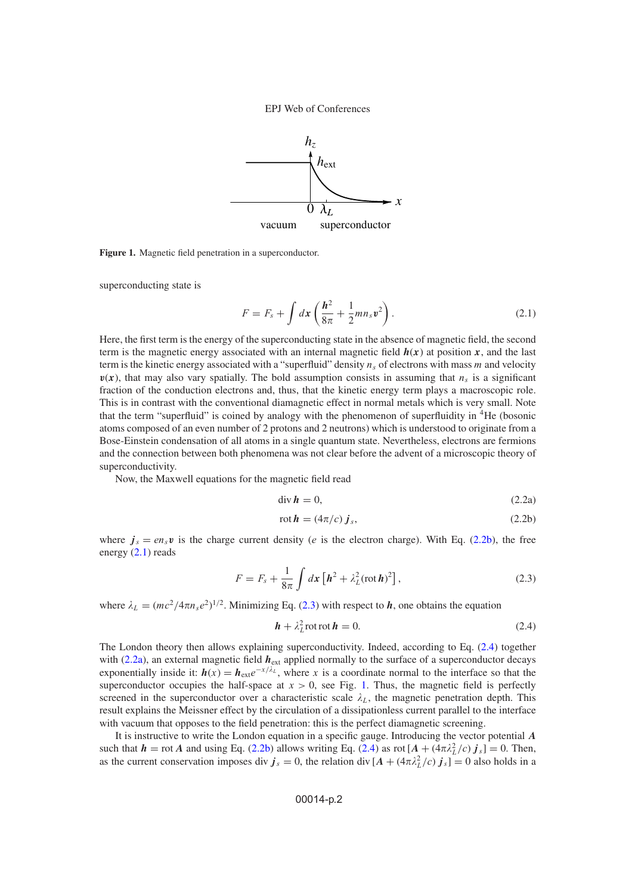

<span id="page-1-4"></span>**Figure 1.** Magnetic field penetration in a superconductor.

<span id="page-1-1"></span>superconducting state is

$$
F = F_s + \int dx \left(\frac{\hbar^2}{8\pi} + \frac{1}{2}mn_s v^2\right).
$$
 (2.1)

Here, the first term is the energy of the superconducting state in the absence of magnetic field, the second term is the magnetic energy associated with an internal magnetic field  $h(x)$  at position  $x$ , and the last term is the kinetic energy associated with a "superfluid" density  $n<sub>s</sub>$  of electrons with mass m and velocity  $v(x)$ , that may also vary spatially. The bold assumption consists in assuming that  $n_s$  is a significant fraction of the conduction electrons and, thus, that the kinetic energy term plays a macroscopic role. This is in contrast with the conventional diamagnetic effect in normal metals which is very small. Note that the term "superfluid" is coined by analogy with the phenomenon of superfluidity in 4He (bosonic atoms composed of an even number of 2 protons and 2 neutrons) which is understood to originate from a Bose-Einstein condensation of all atoms in a single quantum state. Nevertheless, electrons are fermions and the connection between both phenomena was not clear before the advent of a microscopic theory of superconductivity.

Now, the Maxwell equations for the magnetic field read

<span id="page-1-0"></span>
$$
\operatorname{div} \mathbf{h} = 0,\tag{2.2a}
$$

$$
rot \mathbf{h} = (4\pi/c) \mathbf{j}_s,\tag{2.2b}
$$

<span id="page-1-2"></span>where  $j_s = en_s v$  is the charge current density (*e* is the electron charge). With Eq. [\(2.2b\)](#page-1-0), the free energy  $(2.1)$  reads

$$
F = F_s + \frac{1}{8\pi} \int d\mathbf{x} \left[ \mathbf{h}^2 + \lambda_L^2 (\text{rot}\,\mathbf{h})^2 \right],\tag{2.3}
$$

where  $\lambda_L = (mc^2/4\pi n_s e^2)^{1/2}$ . Minimizing Eq. [\(2.3\)](#page-1-2) with respect to *h*, one obtains the equation

<span id="page-1-3"></span>
$$
\mathbf{h} + \lambda_L^2 \operatorname{rot} \mathbf{r} \mathbf{t} \mathbf{h} = 0. \tag{2.4}
$$

The London theory then allows explaining superconductivity. Indeed, according to Eq. [\(2.4\)](#page-1-3) together with [\(2.2a\)](#page-1-0), an external magnetic field  $h_{\text{ext}}$  applied normally to the surface of a superconductor decays exponentially inside it:  $h(x) = h_{ext}e^{-x/\lambda_L}$ , where x is a coordinate normal to the interface so that the superconductor occupies the half-space at  $x > 0$ , see Fig. [1.](#page-1-4) Thus, the magnetic field is perfectly screened in the superconductor over a characteristic scale  $\lambda_L$ , the magnetic penetration depth. This result explains the Meissner effect by the circulation of a dissipationless current parallel to the interface with vacuum that opposes to the field penetration: this is the perfect diamagnetic screening.

It is instructive to write the London equation in a specific gauge. Introducing the vector potential *A* such that  $h = \text{rot } A$  and using Eq. [\(2.2b\)](#page-1-0) allows writing Eq. [\(2.4\)](#page-1-3) as  $\text{rot}[A + (4\pi\lambda_L^2/c) j_s] = 0$ . Then, as the current conservation imposes div  $j_s = 0$ , the relation div  $[A + (4\pi \lambda_L^2/c) j_s] = 0$  also holds in a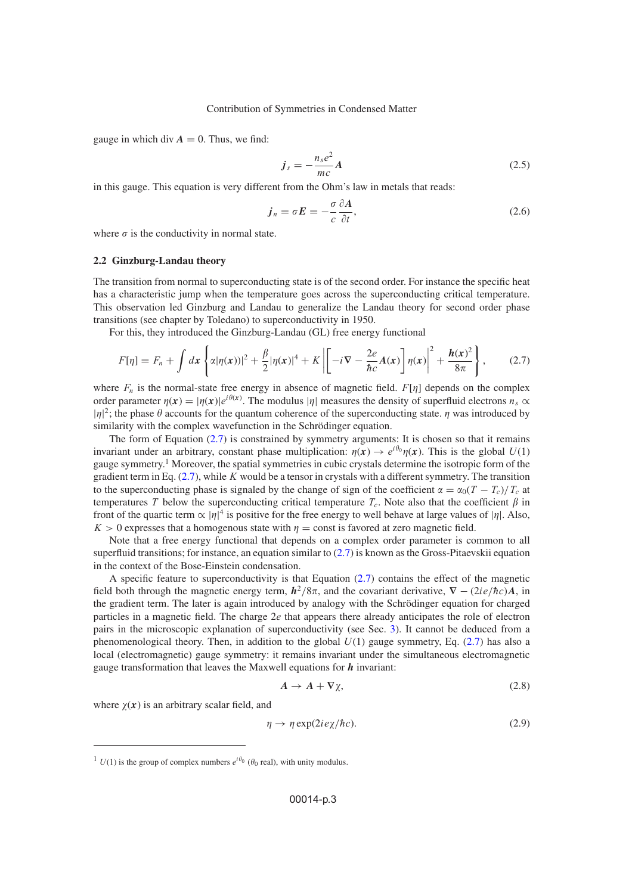gauge in which div  $A = 0$ . Thus, we find:

<span id="page-2-1"></span>
$$
\dot{J}_s = -\frac{n_s e^2}{mc} A \tag{2.5}
$$

in this gauge. This equation is very different from the Ohm's law in metals that reads:

<span id="page-2-0"></span>
$$
j_n = \sigma E = -\frac{\sigma}{c} \frac{\partial A}{\partial t},\tag{2.6}
$$

where  $\sigma$  is the conductivity in normal state.

## **2.2 Ginzburg-Landau theory**

The transition from normal to superconducting state is of the second order. For instance the specific heat has a characteristic jump when the temperature goes across the superconducting critical temperature. This observation led Ginzburg and Landau to generalize the Landau theory for second order phase transitions (see chapter by Toledano) to superconductivity in 1950.

For this, they introduced the Ginzburg-Landau (GL) free energy functional

$$
F[\eta] = F_n + \int dx \left\{ \alpha |\eta(x))|^2 + \frac{\beta}{2} |\eta(x)|^4 + K \left| \left[ -i \nabla - \frac{2e}{\hbar c} A(x) \right] \eta(x) \right|^2 + \frac{\hbar(x)^2}{8\pi} \right\},\qquad(2.7)
$$

where  $F_n$  is the normal-state free energy in absence of magnetic field.  $F[\eta]$  depends on the complex order parameter  $\eta(x) = |\eta(x)|e^{i\theta(x)}$ . The modulus | $\eta$ | measures the density of superfluid electrons  $n_s \propto$  $|\eta|^2$ ; the phase  $\theta$  accounts for the quantum coherence of the superconducting state.  $\eta$  was introduced by similarity with the complex wavefunction in the Schrödinger equation.

The form of Equation  $(2.7)$  is constrained by symmetry arguments: It is chosen so that it remains invariant under an arbitrary, constant phase multiplication:  $\eta(x) \to e^{i\theta_0} \eta(x)$ . This is the global  $U(1)$ gauge symmetry.<sup>1</sup> Moreover, the spatial symmetries in cubic crystals determine the isotropic form of the gradient term in Eq.  $(2.7)$ , while K would be a tensor in crystals with a different symmetry. The transition to the superconducting phase is signaled by the change of sign of the coefficient  $\alpha = \alpha_0(T - T_c)/T_c$  at temperatures T below the superconducting critical temperature  $T_c$ . Note also that the coefficient  $\beta$  in front of the quartic term  $\alpha$  | $\eta$ |<sup>4</sup> is positive for the free energy to well behave at large values of | $\eta$ |. Also,  $K > 0$  expresses that a homogenous state with  $\eta = \text{const}$  is favored at zero magnetic field.

Note that a free energy functional that depends on a complex order parameter is common to all superfluid transitions; for instance, an equation similar to  $(2.7)$  is known as the Gross-Pitaevskii equation in the context of the Bose-Einstein condensation.

A specific feature to superconductivity is that Equation  $(2.7)$  contains the effect of the magnetic field both through the magnetic energy term,  $h^2/8\pi$ , and the covariant derivative,  $\nabla - (2ie/\hbar c)A$ , in the gradient term. The later is again introduced by analogy with the Schrödinger equation for charged particles in a magnetic field. The charge 2e that appears there already anticipates the role of electron pairs in the microscopic explanation of superconductivity (see Sec. [3\)](#page-8-0). It cannot be deduced from a phenomenological theory. Then, in addition to the global  $U(1)$  gauge symmetry, Eq. [\(2.7\)](#page-2-0) has also a local (electromagnetic) gauge symmetry: it remains invariant under the simultaneous electromagnetic gauge transformation that leaves the Maxwell equations for *h* invariant:

$$
A \to A + \nabla \chi, \tag{2.8}
$$

where  $\chi(x)$  is an arbitrary scalar field, and

$$
\eta \to \eta \exp(2ie\chi/\hbar c). \tag{2.9}
$$

<sup>&</sup>lt;sup>1</sup>  $U(1)$  is the group of complex numbers  $e^{i\theta_0}$  ( $\theta_0$  real), with unity modulus.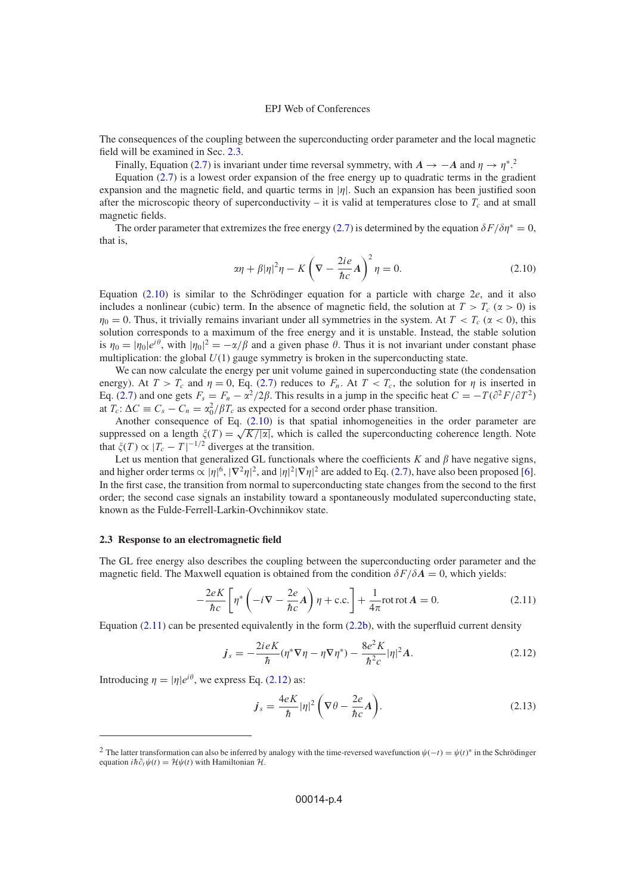The consequences of the coupling between the superconducting order parameter and the local magnetic field will be examined in Sec. [2.3.](#page-3-0)

Finally, Equation [\(2.7\)](#page-2-0) is invariant under time reversal symmetry, with  $A \to -A$  and  $\eta \to \eta^*$ <sup>2</sup>.

Equation  $(2.7)$  is a lowest order expansion of the free energy up to quadratic terms in the gradient expansion and the magnetic field, and quartic terms in  $|\eta|$ . Such an expansion has been justified soon after the microscopic theory of superconductivity – it is valid at temperatures close to  $T_c$  and at small magnetic fields.

<span id="page-3-1"></span>The order parameter that extremizes the free energy [\(2.7\)](#page-2-0) is determined by the equation  $\delta F/\delta \eta^* = 0$ , that is,

$$
\alpha \eta + \beta |\eta|^2 \eta - K \left( \nabla - \frac{2ie}{\hbar c} A \right)^2 \eta = 0. \tag{2.10}
$$

Equation  $(2.10)$  is similar to the Schrödinger equation for a particle with charge 2e, and it also includes a nonlinear (cubic) term. In the absence of magnetic field, the solution at  $T > T_c$  ( $\alpha > 0$ ) is  $\eta_0 = 0$ . Thus, it trivially remains invariant under all symmetries in the system. At  $T < T_c$  ( $\alpha < 0$ ), this solution corresponds to a maximum of the free energy and it is unstable. Instead, the stable solution is  $\eta_0 = |\eta_0|e^{i\theta}$ , with  $|\eta_0|^2 = -\alpha/\beta$  and a given phase  $\theta$ . Thus it is not invariant under constant phase multiplication: the global  $U(1)$  gauge symmetry is broken in the superconducting state.

We can now calculate the energy per unit volume gained in superconducting state (the condensation energy). At  $T > T_c$  and  $\eta = 0$ , Eq. [\(2.7\)](#page-2-0) reduces to  $F_n$ . At  $T < T_c$ , the solution for  $\eta$  is inserted in Eq. [\(2.7\)](#page-2-0) and one gets  $F_s = F_n - \alpha^2/2\beta$ . This results in a jump in the specific heat  $C = -T(\partial^2 F/\partial T^2)$ at  $T_c$ :  $\Delta C \equiv C_s - C_n = \alpha_0^2 / \beta T_c$  as expected for a second order phase transition.

Another consequence of Eq.  $(2.10)$  is that spatial inhomogeneities in the order parameter are Ahother consequence of Eq. (2.10) is that spatial inhomogeneities in the order parameter are suppressed on a length  $\zeta(T) = \sqrt{K/|\alpha|}$ , which is called the superconducting coherence length. Note that  $\zeta(T) \propto |T_c - T|^{-1/2}$  diverges at the transition.

Let us mention that generalized GL functionals where the coefficients  $K$  and  $\beta$  have negative signs, and higher order terms  $\propto |\eta|^6$ ,  $|\nabla^2 \eta|^2$ , and  $|\eta|^2 |\nabla \eta|^2$  are added to Eq. [\(2.7\)](#page-2-0), have also been proposed [\[6\]](#page-23-4). In the first case, the transition from normal to superconducting state changes from the second to the first order; the second case signals an instability toward a spontaneously modulated superconducting state, known as the Fulde-Ferrell-Larkin-Ovchinnikov state.

## <span id="page-3-0"></span>**2.3 Response to an electromagnetic field**

The GL free energy also describes the coupling between the superconducting order parameter and the magnetic field. The Maxwell equation is obtained from the condition  $\delta F/\delta A = 0$ , which yields:

$$
-\frac{2eK}{\hbar c} \left[ \eta^* \left( -i \nabla - \frac{2e}{\hbar c} A \right) \eta + \text{c.c.} \right] + \frac{1}{4\pi} \text{rot rot } A = 0. \tag{2.11}
$$

Equation [\(2.11\)](#page-3-2) can be presented equivalently in the form [\(2.2b\)](#page-1-0), with the superfluid current density

$$
j_s = -\frac{2ieK}{\hbar}(\eta^* \nabla \eta - \eta \nabla \eta^*) - \frac{8e^2 K}{\hbar^2 c} |\eta|^2 A.
$$
 (2.12)

Introducing  $\eta = |\eta|e^{i\theta}$ , we express Eq. [\(2.12\)](#page-3-3) as:

<span id="page-3-4"></span><span id="page-3-3"></span><span id="page-3-2"></span>
$$
\dot{\boldsymbol{J}}_{s} = \frac{4eK}{\hbar} |\eta|^{2} \left( \nabla \theta - \frac{2e}{\hbar c} \boldsymbol{A} \right). \tag{2.13}
$$

<sup>&</sup>lt;sup>2</sup> The latter transformation can also be inferred by analogy with the time-reversed wavefunction  $\psi(-t) = \psi(t)^*$  in the Schrödinger equation  $i\hbar \partial_t \psi(t) = \mathcal{H}\psi(t)$  with Hamiltonian  $\mathcal{H}$ .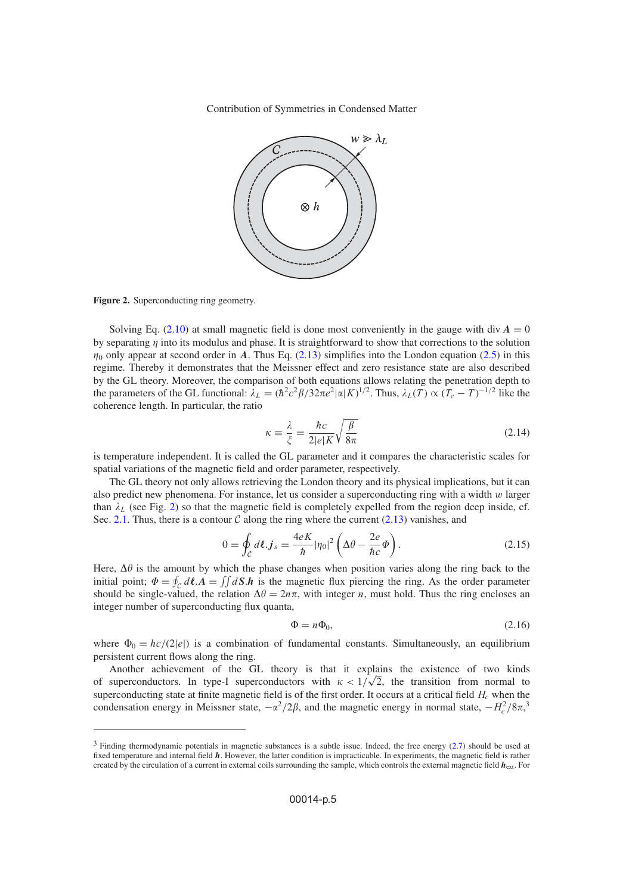

<span id="page-4-0"></span>**Figure 2.** Superconducting ring geometry.

Solving Eq. [\(2.10\)](#page-3-1) at small magnetic field is done most conveniently in the gauge with div  $A = 0$ by separating  $\eta$  into its modulus and phase. It is straightforward to show that corrections to the solution  $\eta_0$  only appear at second order in *A*. Thus Eq. [\(2.13\)](#page-3-4) simplifies into the London equation [\(2.5\)](#page-2-1) in this regime. Thereby it demonstrates that the Meissner effect and zero resistance state are also described by the GL theory. Moreover, the comparison of both equations allows relating the penetration depth to the parameters of the GL functional:  $\lambda_L = (\hbar^2 c^2 \beta / 32\pi e^2 |\alpha| K)^{1/2}$ . Thus,  $\lambda_L(T) \propto (T_c - T)^{-1/2}$  like the coherence length. In particular, the ratio

$$
\kappa \equiv \frac{\lambda}{\xi} = \frac{\hbar c}{2|e|K} \sqrt{\frac{\beta}{8\pi}}
$$
\n(2.14)

is temperature independent. It is called the GL parameter and it compares the characteristic scales for spatial variations of the magnetic field and order parameter, respectively.

The GL theory not only allows retrieving the London theory and its physical implications, but it can also predict new phenomena. For instance, let us consider a superconducting ring with a width  $w$  larger than  $\lambda_L$  (see Fig. [2\)](#page-4-0) so that the magnetic field is completely expelled from the region deep inside, cf. Sec. [2.1.](#page-0-1) Thus, there is a contour  $\mathcal C$  along the ring where the current [\(2.13\)](#page-3-4) vanishes, and

$$
0 = \oint_{\mathcal{C}} d\ell \cdot \mathbf{j}_s = \frac{4eK}{\hbar} |\eta_0|^2 \left( \Delta \theta - \frac{2e}{\hbar c} \Phi \right). \tag{2.15}
$$

Here,  $\Delta\theta$  is the amount by which the phase changes when position varies along the ring back to the initial point;  $\Phi = \oint_C d\ell \cdot \vec{A} = \iint dS \cdot \vec{h}$  is the magnetic flux piercing the ring. As the order parameter should be single-valued, the relation  $\Delta \theta = 2n\pi$ , with integer n, must hold. Thus the ring encloses an integer number of superconducting flux quanta,

$$
\Phi = n\Phi_0,\tag{2.16}
$$

where  $\Phi_0 = hc/(2|e|)$  is a combination of fundamental constants. Simultaneously, an equilibrium persistent current flows along the ring.

Another achievement of the GL theory is that it explains the existence of two kinds of superconductors. In type-I superconductors with  $\kappa < 1/\sqrt{2}$ , the transition from normal to superconducting state at finite magnetic field is of the first order. It occurs at a critical field  $H_c$  when the condensation energy in Meissner state,  $-\alpha^2/2\beta$ , and the magnetic energy in normal state,  $-H_c^2/8\pi$ ,<sup>3</sup>

 $3$  Finding thermodynamic potentials in magnetic substances is a subtle issue. Indeed, the free energy  $(2.7)$  should be used at fixed temperature and internal field *h*. However, the latter condition is impracticable. In experiments, the magnetic field is rather created by the circulation of a current in external coils surrounding the sample, which controls the external magnetic field *h*ext. For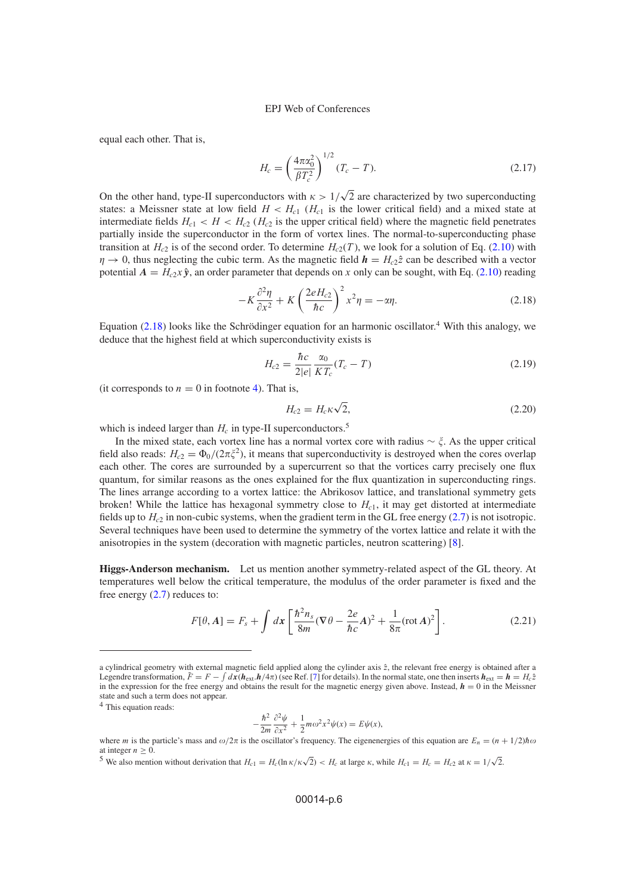equal each other. That is,

$$
H_c = \left(\frac{4\pi\alpha_0^2}{\beta T_c^2}\right)^{1/2} (T_c - T).
$$
 (2.17)

On the other hand, type-II superconductors with  $\kappa > 1/$ 2 are characterized by two superconducting states: a Meissner state at low field  $H < H<sub>c1</sub>$  ( $H<sub>c1</sub>$  is the lower critical field) and a mixed state at intermediate fields  $H_{c1} < H < H_{c2}$  ( $H_{c2}$  is the upper critical field) where the magnetic field penetrates partially inside the superconductor in the form of vortex lines. The normal-to-superconducting phase transition at  $H_{c2}$  is of the second order. To determine  $H_{c2}(T)$ , we look for a solution of Eq. [\(2.10\)](#page-3-1) with  $\eta \to 0$ , thus neglecting the cubic term. As the magnetic field  $h = H_{c2} \hat{z}$  can be described with a vector potential  $A = H_{c2}x\hat{y}$ , an order parameter that depends on x only can be sought, with Eq. [\(2.10\)](#page-3-1) reading

$$
-K\frac{\partial^2 \eta}{\partial x^2} + K\left(\frac{2eH_{c2}}{\hbar c}\right)^2 x^2 \eta = -\alpha \eta.
$$
 (2.18)

Equation  $(2.18)$  looks like the Schrödinger equation for an harmonic oscillator.<sup>4</sup> With this analogy, we deduce that the highest field at which superconductivity exists is

<span id="page-5-0"></span>
$$
H_{c2} = \frac{\hbar c}{2|e|} \frac{\alpha_0}{KT_c} (T_c - T)
$$
\n(2.19)

(it corresponds to  $n = 0$  in footnote [4\)](#page-5-0). That is,

$$
H_{c2} = H_c \kappa \sqrt{2},\tag{2.20}
$$

which is indeed larger than  $H_c$  in type-II superconductors.<sup>5</sup>

In the mixed state, each vortex line has a normal vortex core with radius ∼ . As the upper critical field also reads:  $H_{c2} = \Phi_0/(2\pi \xi^2)$ , it means that superconductivity is destroyed when the cores overlap each other. The cores are surrounded by a supercurrent so that the vortices carry precisely one flux quantum, for similar reasons as the ones explained for the flux quantization in superconducting rings. The lines arrange according to a vortex lattice: the Abrikosov lattice, and translational symmetry gets broken! While the lattice has hexagonal symmetry close to  $H_{c1}$ , it may get distorted at intermediate fields up to  $H_c$  in non-cubic systems, when the gradient term in the GL free energy [\(2.7\)](#page-2-0) is not isotropic. Several techniques have been used to determine the symmetry of the vortex lattice and relate it with the anisotropies in the system (decoration with magnetic particles, neutron scattering) [\[8\]](#page-23-5).

**Higgs-Anderson mechanism.** Let us mention another symmetry-related aspect of the GL theory. At temperatures well below the critical temperature, the modulus of the order parameter is fixed and the free energy  $(2.7)$  reduces to:

<span id="page-5-1"></span>
$$
F[\theta, A] = F_s + \int dx \left[ \frac{\hbar^2 n_s}{8m} (\nabla \theta - \frac{2e}{\hbar c} A)^2 + \frac{1}{8\pi} (\text{rot } A)^2 \right].
$$
 (2.21)

<sup>4</sup> This equation reads:

$$
-\frac{\hbar^2}{2m}\frac{\partial^2 \psi}{\partial x^2} + \frac{1}{2}m\omega^2 x^2 \psi(x) = E\psi(x),
$$

a cylindrical geometry with external magnetic field applied along the cylinder axis  $\hat{z}$ , the relevant free energy is obtained after a Legendre transformation,  $\tilde{F} = F - \int dx (h_{ext} \cdot h/4\pi)$  (see Ref. [\[7\]](#page-23-6) for details). In the normal state, one then inserts  $h_{ext} = h = H_c \hat{z}$ in the expression for the free energy and obtains the result for the magnetic energy given above. Instead,  $h = 0$  in the Meissner state and such a term does not appear.

where m is the particle's mass and  $\omega/2\pi$  is the oscillator's frequency. The eigenenergies of this equation are  $E_n = (n + 1/2)\hbar\omega$ at integer  $n \geq 0$ 

S We also mention without derivation that  $H_{c1} = H_c(\ln \kappa / \kappa \sqrt{2}) < H_c$  at large  $\kappa$ , while  $H_{c1} = H_c = H_{c2}$  at  $\kappa = 1/\sqrt{2}$ .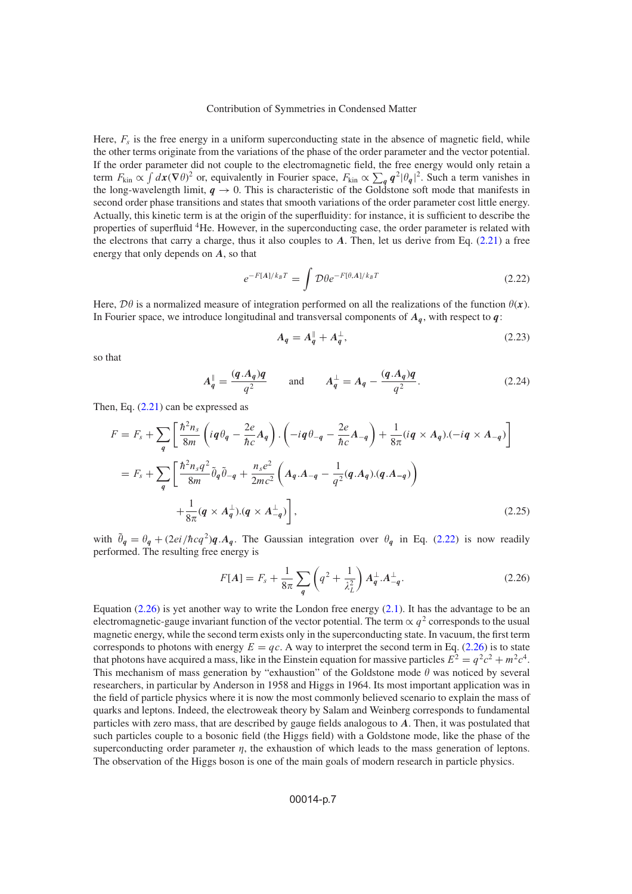Here,  $F_s$  is the free energy in a uniform superconducting state in the absence of magnetic field, while the other terms originate from the variations of the phase of the order parameter and the vector potential. If the order parameter did not couple to the electromagnetic field, the free energy would only retain a term  $F_{\text{kin}} \propto \int dx (\nabla \theta)^2$  or, equivalently in Fourier space,  $F_{\text{kin}} \propto \sum_q q^2 |\theta_q|^2$ . Such a term vanishes in the long-wavelength limit,  $q \rightarrow 0$ . This is characteristic of the Goldstone soft mode that manifests in second order phase transitions and states that smooth variations of the order parameter cost little energy. Actually, this kinetic term is at the origin of the superfluidity: for instance, it is sufficient to describe the properties of superfluid 4He. However, in the superconducting case, the order parameter is related with the electrons that carry a charge, thus it also couples to *A*. Then, let us derive from Eq. [\(2.21\)](#page-5-1) a free energy that only depends on *A*, so that

<span id="page-6-0"></span>
$$
e^{-F[A]/k_BT} = \int \mathcal{D}\theta e^{-F[\theta, A]/k_BT}
$$
\n(2.22)

Here,  $\mathcal{D}\theta$  is a normalized measure of integration performed on all the realizations of the function  $\theta(x)$ . In Fourier space, we introduce longitudinal and transversal components of  $A<sub>q</sub>$ , with respect to  $q$ :

$$
A_q = A_q^{\parallel} + A_q^{\perp}, \tag{2.23}
$$

so that

$$
A_q^{\parallel} = \frac{(q.A_q)q}{q^2} \quad \text{and} \quad A_q^{\perp} = A_q - \frac{(q.A_q)q}{q^2}.
$$
 (2.24)

Then, Eq.  $(2.21)$  can be expressed as

$$
F = F_s + \sum_{q} \left[ \frac{\hbar^2 n_s}{8m} \left( i q \theta_q - \frac{2e}{\hbar c} A_q \right) \cdot \left( -i q \theta_{-q} - \frac{2e}{\hbar c} A_{-q} \right) + \frac{1}{8\pi} (i q \times A_q) \cdot (-i q \times A_{-q}) \right]
$$
  
=  $F_s + \sum_{q} \left[ \frac{\hbar^2 n_s q^2}{8m} \tilde{\theta}_q \tilde{\theta}_{-q} + \frac{n_s e^2}{2mc^2} \left( A_q \cdot A_{-q} - \frac{1}{q^2} (q \cdot A_q) \cdot (q \cdot A_{-q}) \right) + \frac{1}{8\pi} (q \times A_q^{\perp}) \cdot (q \times A_{-q}^{\perp}) \right],$  (2.25)

with  $\bar{\theta}_q = \theta_q + (2ei/\hbar c q^2)q.A_q$ . The Gaussian integration over  $\theta_q$  in Eq. [\(2.22\)](#page-6-0) is now readily performed. The resulting free energy is

<span id="page-6-1"></span>
$$
F[A] = F_s + \frac{1}{8\pi} \sum_{q} \left( q^2 + \frac{1}{\lambda_L^2} \right) A_q^{\perp} A_{-q}^{\perp}.
$$
 (2.26)

Equation  $(2.26)$  is yet another way to write the London free energy  $(2.1)$ . It has the advantage to be an electromagnetic-gauge invariant function of the vector potential. The term  $\propto q^2$  corresponds to the usual magnetic energy, while the second term exists only in the superconducting state. In vacuum, the first term corresponds to photons with energy  $E = qc$ . A way to interpret the second term in Eq. [\(2.26\)](#page-6-1) is to state that photons have acquired a mass, like in the Einstein equation for massive particles  $E^2 = q^2c^2 + m^2c^4$ . This mechanism of mass generation by "exhaustion" of the Goldstone mode  $\theta$  was noticed by several researchers, in particular by Anderson in 1958 and Higgs in 1964. Its most important application was in the field of particle physics where it is now the most commonly believed scenario to explain the mass of quarks and leptons. Indeed, the electroweak theory by Salam and Weinberg corresponds to fundamental particles with zero mass, that are described by gauge fields analogous to *A*. Then, it was postulated that such particles couple to a bosonic field (the Higgs field) with a Goldstone mode, like the phase of the superconducting order parameter  $\eta$ , the exhaustion of which leads to the mass generation of leptons. The observation of the Higgs boson is one of the main goals of modern research in particle physics.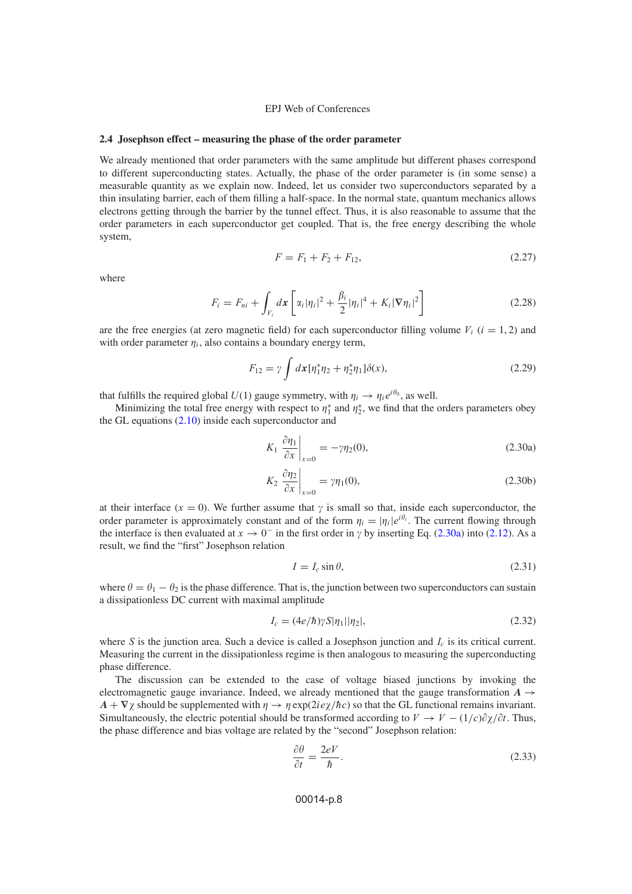#### <span id="page-7-3"></span>**2.4 Josephson effect – measuring the phase of the order parameter**

We already mentioned that order parameters with the same amplitude but different phases correspond to different superconducting states. Actually, the phase of the order parameter is (in some sense) a measurable quantity as we explain now. Indeed, let us consider two superconductors separated by a thin insulating barrier, each of them filling a half-space. In the normal state, quantum mechanics allows electrons getting through the barrier by the tunnel effect. Thus, it is also reasonable to assume that the order parameters in each superconductor get coupled. That is, the free energy describing the whole system,

$$
F = F_1 + F_2 + F_{12},\tag{2.27}
$$

where

$$
F_i = F_{ni} + \int_{V_i} dx \left[ \alpha_i |\eta_i|^2 + \frac{\beta_i}{2} |\eta_i|^4 + K_i |\nabla \eta_i|^2 \right]
$$
 (2.28)

are the free energies (at zero magnetic field) for each superconductor filling volume  $V_i$  ( $i = 1, 2$ ) and with order parameter  $\eta_i$ , also contains a boundary energy term,

<span id="page-7-4"></span>
$$
F_{12} = \gamma \int dx [\eta_1^* \eta_2 + \eta_2^* \eta_1] \delta(x), \qquad (2.29)
$$

that fulfills the required global  $U(1)$  gauge symmetry, with  $\eta_i \to \eta_i e^{i\theta_0}$ , as well.

Minimizing the total free energy with respect to  $\eta_1^*$  and  $\eta_2^*$ , we find that the orders parameters obey the GL equations [\(2.10\)](#page-3-1) inside each superconductor and

<span id="page-7-0"></span>
$$
K_1 \left. \frac{\partial \eta_1}{\partial x} \right|_{x=0} = -\gamma \eta_2(0),\tag{2.30a}
$$

$$
K_2 \left. \frac{\partial \eta_2}{\partial x} \right|_{x=0} = \gamma \eta_1(0), \tag{2.30b}
$$

at their interface ( $x = 0$ ). We further assume that  $\gamma$  is small so that, inside each superconductor, the order parameter is approximately constant and of the form  $\eta_i = |\eta_i|e^{i\theta_i}$ . The current flowing through the interface is then evaluated at  $x \to 0^-$  in the first order in  $\gamma$  by inserting Eq. [\(2.30a\)](#page-7-0) into [\(2.12\)](#page-3-3). As a result, we find the "first" Josephson relation

<span id="page-7-2"></span>
$$
I = I_c \sin \theta,\tag{2.31}
$$

where  $\theta = \theta_1 - \theta_2$  is the phase difference. That is, the junction between two superconductors can sustain a dissipationless DC current with maximal amplitude

$$
I_c = (4e/\hbar)\gamma S|\eta_1||\eta_2|,\tag{2.32}
$$

where S is the junction area. Such a device is called a Josephson junction and  $I_c$  is its critical current. Measuring the current in the dissipationless regime is then analogous to measuring the superconducting phase difference.

The discussion can be extended to the case of voltage biased junctions by invoking the electromagnetic gauge invariance. Indeed, we already mentioned that the gauge transformation  $A \rightarrow$  $A + \nabla \chi$  should be supplemented with  $\eta \to \eta \exp(2ie\gamma/\hbar c)$  so that the GL functional remains invariant. Simultaneously, the electric potential should be transformed according to  $V \to V - (1/c)\partial \chi/\partial t$ . Thus, the phase difference and bias voltage are related by the "second" Josephson relation:

<span id="page-7-1"></span>
$$
\frac{\partial \theta}{\partial t} = \frac{2eV}{\hbar}.\tag{2.33}
$$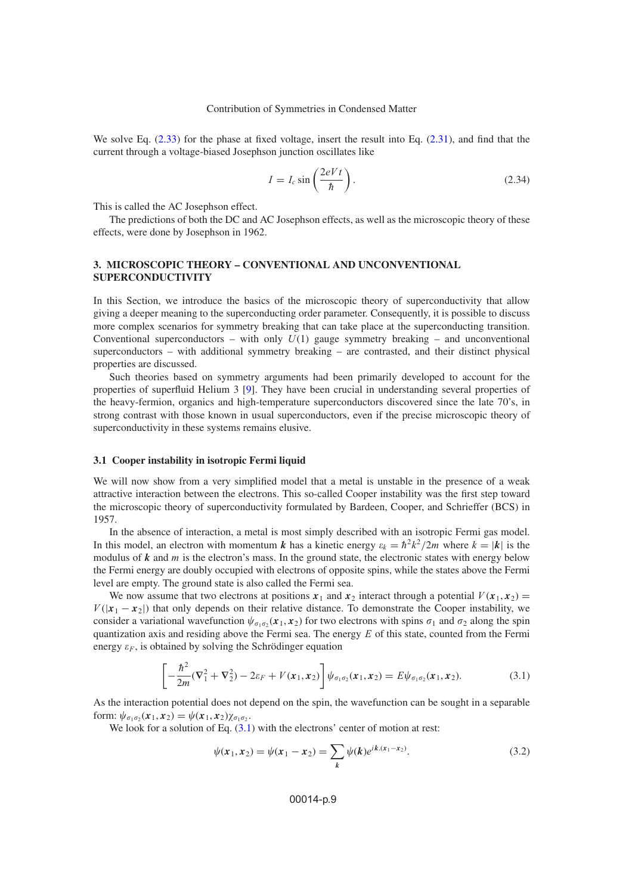We solve Eq.  $(2.33)$  for the phase at fixed voltage, insert the result into Eq.  $(2.31)$ , and find that the current through a voltage-biased Josephson junction oscillates like

$$
I = I_c \sin\left(\frac{2eVt}{\hbar}\right). \tag{2.34}
$$

This is called the AC Josephson effect.

The predictions of both the DC and AC Josephson effects, as well as the microscopic theory of these effects, were done by Josephson in 1962.

## <span id="page-8-0"></span>**3. MICROSCOPIC THEORY – CONVENTIONAL AND UNCONVENTIONAL SUPERCONDUCTIVITY**

In this Section, we introduce the basics of the microscopic theory of superconductivity that allow giving a deeper meaning to the superconducting order parameter. Consequently, it is possible to discuss more complex scenarios for symmetry breaking that can take place at the superconducting transition. Conventional superconductors – with only  $U(1)$  gauge symmetry breaking – and unconventional superconductors – with additional symmetry breaking – are contrasted, and their distinct physical properties are discussed.

Such theories based on symmetry arguments had been primarily developed to account for the properties of superfluid Helium 3 [\[9\]](#page-23-7). They have been crucial in understanding several properties of the heavy-fermion, organics and high-temperature superconductors discovered since the late 70's, in strong contrast with those known in usual superconductors, even if the precise microscopic theory of superconductivity in these systems remains elusive.

## <span id="page-8-2"></span>**3.1 Cooper instability in isotropic Fermi liquid**

We will now show from a very simplified model that a metal is unstable in the presence of a weak attractive interaction between the electrons. This so-called Cooper instability was the first step toward the microscopic theory of superconductivity formulated by Bardeen, Cooper, and Schrieffer (BCS) in 1957.

In the absence of interaction, a metal is most simply described with an isotropic Fermi gas model. In this model, an electron with momentum *k* has a kinetic energy  $\varepsilon_k = \hbar^2 k^2 / 2m$  where  $k = |k|$  is the modulus of  $k$  and  $m$  is the electron's mass. In the ground state, the electronic states with energy below the Fermi energy are doubly occupied with electrons of opposite spins, while the states above the Fermi level are empty. The ground state is also called the Fermi sea.

We now assume that two electrons at positions  $x_1$  and  $x_2$  interact through a potential  $V(x_1, x_2) =$  $V(|x_1 - x_2|)$  that only depends on their relative distance. To demonstrate the Cooper instability, we consider a variational wavefunction  $\psi_{\sigma_1\sigma_2}(x_1, x_2)$  for two electrons with spins  $\sigma_1$  and  $\sigma_2$  along the spin quantization axis and residing above the Fermi sea. The energy  $E$  of this state, counted from the Fermi energy  $\epsilon_F$ , is obtained by solving the Schrödinger equation

<span id="page-8-1"></span>
$$
\left[ -\frac{\hbar^2}{2m} (\nabla_1^2 + \nabla_2^2) - 2\varepsilon_F + V(x_1, x_2) \right] \psi_{\sigma_1 \sigma_2}(x_1, x_2) = E \psi_{\sigma_1 \sigma_2}(x_1, x_2).
$$
 (3.1)

As the interaction potential does not depend on the spin, the wavefunction can be sought in a separable form:  $\psi_{\sigma_1 \sigma_2}(x_1, x_2) = \psi(x_1, x_2) \chi_{\sigma_1 \sigma_2}$ .

We look for a solution of Eq.  $(3.1)$  with the electrons' center of motion at rest:

$$
\psi(x_1, x_2) = \psi(x_1 - x_2) = \sum_{k} \psi(k) e^{ik.(x_1 - x_2)}.
$$
\n(3.2)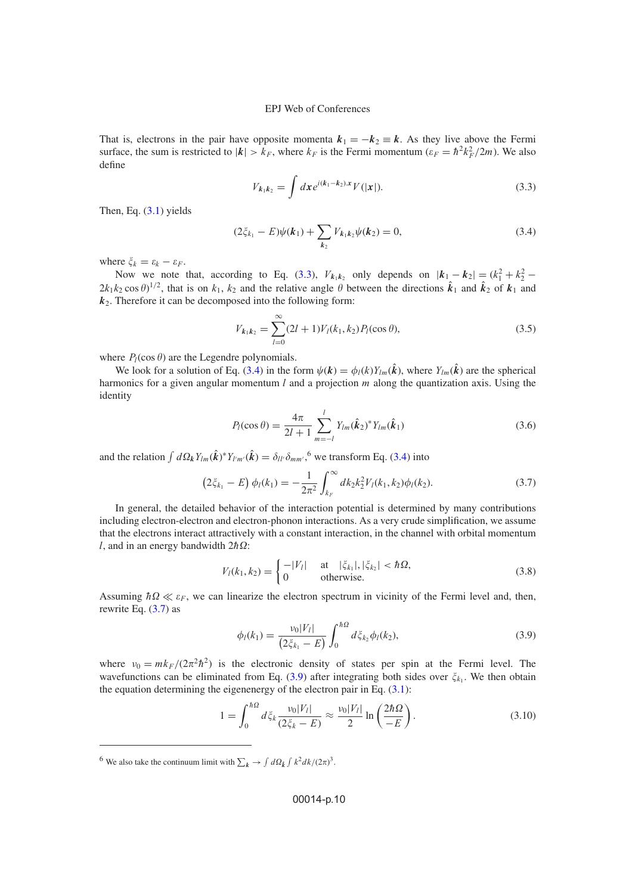<span id="page-9-0"></span>That is, electrons in the pair have opposite momenta  $k_1 = -k_2 \equiv k$ . As they live above the Fermi surface, the sum is restricted to  $|k| > k_F$ , where  $k_F$  is the Fermi momentum  $(\varepsilon_F = \hbar^2 k_F^2 / 2m)$ . We also define

$$
V_{k_1k_2} = \int dx e^{i(k_1 - k_2)x} V(|x|).
$$
 (3.3)

<span id="page-9-1"></span>Then, Eq.  $(3.1)$  yields

$$
(2\xi_{k_1} - E)\psi(\mathbf{k}_1) + \sum_{\mathbf{k}_2} V_{\mathbf{k}_1 \mathbf{k}_2} \psi(\mathbf{k}_2) = 0, \tag{3.4}
$$

where  $\xi_k = \varepsilon_k - \varepsilon_F$ .

Now we note that, according to Eq. [\(3.3\)](#page-9-0),  $V_{k_1k_2}$  only depends on  $|k_1 - k_2| = (k_1^2 + k_2^2 - k_1^2)$  $2k_1k_2 \cos \theta$ <sup>1/2</sup>, that is on  $k_1$ ,  $k_2$  and the relative angle  $\theta$  between the directions  $\hat{k}_1$  and  $\hat{k}_2$  of  $k_1$  and  $k<sub>2</sub>$ . Therefore it can be decomposed into the following form:

<span id="page-9-4"></span>
$$
V_{k_1k_2} = \sum_{l=0}^{\infty} (2l+1)V_l(k_1, k_2)P_l(\cos \theta),
$$
\n(3.5)

where  $P_l(\cos \theta)$  are the Legendre polynomials.

<span id="page-9-5"></span>We look for a solution of Eq. [\(3.4\)](#page-9-1) in the form  $\psi(k) = \phi_l(k)Y_{lm}(\hat{k})$ , where  $Y_{lm}(\hat{k})$  are the spherical harmonics for a given angular momentum  $l$  and a projection  $m$  along the quantization axis. Using the identity

<span id="page-9-2"></span>
$$
P_l(\cos\theta) = \frac{4\pi}{2l+1} \sum_{m=-l}^{l} Y_{lm}(\hat{k}_2)^* Y_{lm}(\hat{k}_1)
$$
 (3.6)

and the relation  $\int d\Omega_k Y_{lm}(\hat{k})^* Y_{l'm'}(\hat{k}) = \delta_{ll'} \delta_{mm'}$ , <sup>6</sup> we transform Eq. [\(3.4\)](#page-9-1) into

$$
(2\xi_{k_1} - E) \phi_l(k_1) = -\frac{1}{2\pi^2} \int_{k_F}^{\infty} dk_2 k_2^2 V_l(k_1, k_2) \phi_l(k_2).
$$
 (3.7)

In general, the detailed behavior of the interaction potential is determined by many contributions including electron-electron and electron-phonon interactions. As a very crude simplification, we assume that the electrons interact attractively with a constant interaction, in the channel with orbital momentum l, and in an energy bandwidth  $2\hbar \Omega$ :

$$
V_l(k_1, k_2) = \begin{cases} -|V_l| & \text{at } |\xi_{k_1}|, |\xi_{k_2}| < \hbar \Omega, \\ 0 & \text{otherwise.} \end{cases}
$$
 (3.8)

<span id="page-9-3"></span>Assuming  $\hbar \Omega \ll \varepsilon_F$ , we can linearize the electron spectrum in vicinity of the Fermi level and, then, rewrite Eq.  $(3.7)$  as

$$
\phi_l(k_1) = \frac{\nu_0 |V_l|}{(2\xi_{k_1} - E)} \int_0^{\hbar \Omega} d\xi_{k_2} \phi_l(k_2), \tag{3.9}
$$

where  $v_0 = mk_F/(2\pi^2\hbar^2)$  is the electronic density of states per spin at the Fermi level. The wavefunctions can be eliminated from Eq. [\(3.9\)](#page-9-3) after integrating both sides over  $\xi_{k_1}$ . We then obtain the equation determining the eigenenergy of the electron pair in Eq.  $(3.1)$ :

$$
1 = \int_0^{\hbar\Omega} d\xi_k \frac{v_0|V_l|}{(2\xi_k - E)} \approx \frac{v_0|V_l|}{2} \ln\left(\frac{2\hbar\Omega}{-E}\right). \tag{3.10}
$$

<sup>&</sup>lt;sup>6</sup> We also take the continuum limit with  $\sum_{k} \rightarrow \int d\Omega_{\hat{k}} \int k^2 dk / (2\pi)^3$ .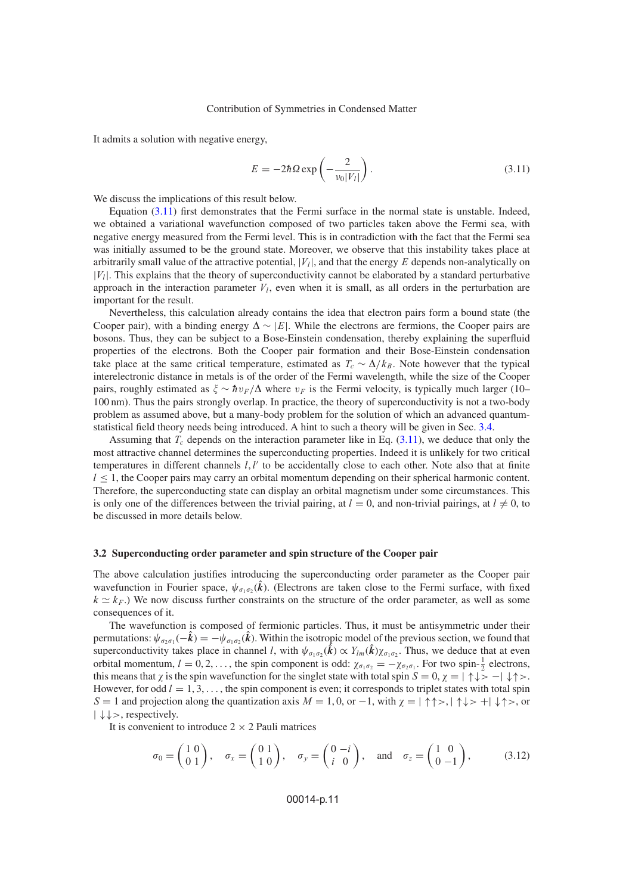It admits a solution with negative energy,

<span id="page-10-0"></span>
$$
E = -2\hbar \Omega \exp\left(-\frac{2}{v_0|V_l|}\right). \tag{3.11}
$$

We discuss the implications of this result below.

Equation [\(3.11\)](#page-10-0) first demonstrates that the Fermi surface in the normal state is unstable. Indeed, we obtained a variational wavefunction composed of two particles taken above the Fermi sea, with negative energy measured from the Fermi level. This is in contradiction with the fact that the Fermi sea was initially assumed to be the ground state. Moreover, we observe that this instability takes place at arbitrarily small value of the attractive potential,  $|V_l|$ , and that the energy E depends non-analytically on  $|V_l|$ . This explains that the theory of superconductivity cannot be elaborated by a standard perturbative approach in the interaction parameter  $V_l$ , even when it is small, as all orders in the perturbation are important for the result.

Nevertheless, this calculation already contains the idea that electron pairs form a bound state (the Cooper pair), with a binding energy  $\Delta \sim |E|$ . While the electrons are fermions, the Cooper pairs are bosons. Thus, they can be subject to a Bose-Einstein condensation, thereby explaining the superfluid properties of the electrons. Both the Cooper pair formation and their Bose-Einstein condensation take place at the same critical temperature, estimated as  $T_c \sim \Delta/k_B$ . Note however that the typical interelectronic distance in metals is of the order of the Fermi wavelength, while the size of the Cooper pairs, roughly estimated as  $\xi \sim \hbar v_F/\Delta$  where  $v_F$  is the Fermi velocity, is typically much larger (10– 100 nm). Thus the pairs strongly overlap. In practice, the theory of superconductivity is not a two-body problem as assumed above, but a many-body problem for the solution of which an advanced quantumstatistical field theory needs being introduced. A hint to such a theory will be given in Sec. [3.4.](#page-15-0)

Assuming that  $T_c$  depends on the interaction parameter like in Eq. [\(3.11\)](#page-10-0), we deduce that only the most attractive channel determines the superconducting properties. Indeed it is unlikely for two critical temperatures in different channels  $l, l'$  to be accidentally close to each other. Note also that at finite  $l \leq 1$ , the Cooper pairs may carry an orbital momentum depending on their spherical harmonic content. Therefore, the superconducting state can display an orbital magnetism under some circumstances. This is only one of the differences between the trivial pairing, at  $l = 0$ , and non-trivial pairings, at  $l \neq 0$ , to be discussed in more details below.

## **3.2 Superconducting order parameter and spin structure of the Cooper pair**

The above calculation justifies introducing the superconducting order parameter as the Cooper pair wavefunction in Fourier space,  $\psi_{\sigma_1\sigma_2}(\hat{k})$ . (Electrons are taken close to the Fermi surface, with fixed  $k \simeq k_F$ .) We now discuss further constraints on the structure of the order parameter, as well as some consequences of it.

The wavefunction is composed of fermionic particles. Thus, it must be antisymmetric under their permutations:  $\psi_{\sigma_2\sigma_1}(-\hat{k}) = -\psi_{\sigma_1\sigma_2}(\hat{k})$ . Within the isotropic model of the previous section, we found that superconductivity takes place in channel *l*, with  $\psi_{\sigma_1 \sigma_2}(\hat{k}) \propto Y_{lm}(\hat{k}) \chi_{\sigma_1 \sigma_2}$ . Thus, we deduce that at even orbital momentum,  $l = 0, 2, \ldots$ , the spin component is odd:  $\chi_{\sigma_1 \sigma_2} = -\chi_{\sigma_2 \sigma_1}$ . For two spin- $\frac{1}{2}$  electrons, this means that  $\chi$  is the spin wavefunction for the singlet state with total spin  $S = 0$ ,  $\chi = |\uparrow \downarrow \rangle > -|\downarrow \uparrow \rangle$ . However, for odd  $l = 1, 3, \ldots$ , the spin component is even; it corresponds to triplet states with total spin S = 1 and projection along the quantization axis  $M = 1, 0$ , or  $-1$ , with  $\chi = |\uparrow \uparrow >, |\uparrow \downarrow > +| \downarrow \uparrow >$ , or  $|\downarrow\downarrow\rangle$ , respectively.

It is convenient to introduce  $2 \times 2$  Pauli matrices

$$
\sigma_0 = \begin{pmatrix} 1 & 0 \\ 0 & 1 \end{pmatrix}, \quad \sigma_x = \begin{pmatrix} 0 & 1 \\ 1 & 0 \end{pmatrix}, \quad \sigma_y = \begin{pmatrix} 0 & -i \\ i & 0 \end{pmatrix}, \quad \text{and} \quad \sigma_z = \begin{pmatrix} 1 & 0 \\ 0 & -1 \end{pmatrix}, \tag{3.12}
$$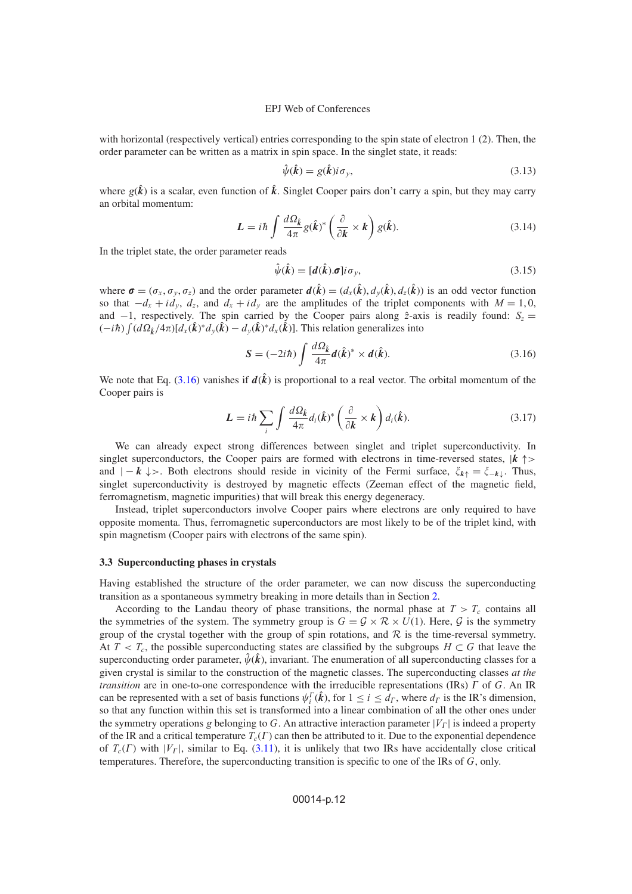with horizontal (respectively vertical) entries corresponding to the spin state of electron 1 (2). Then, the order parameter can be written as a matrix in spin space. In the singlet state, it reads:

$$
\hat{\psi}(\hat{k}) = g(\hat{k})i\sigma_y,\tag{3.13}
$$

where  $g(\hat{k})$  is a scalar, even function of  $\hat{k}$ . Singlet Cooper pairs don't carry a spin, but they may carry an orbital momentum:

$$
L = i\hbar \int \frac{d\Omega_{\hat{k}}}{4\pi} g(\hat{k})^* \left(\frac{\partial}{\partial k} \times k\right) g(\hat{k}). \tag{3.14}
$$

In the triplet state, the order parameter reads

<span id="page-11-0"></span>
$$
\hat{\psi}(\hat{k}) = [d(\hat{k}) \sigma] i \sigma_y, \tag{3.15}
$$

where  $\sigma = (\sigma_x, \sigma_y, \sigma_z)$  and the order parameter  $d(\hat{k}) = (d_x(\hat{k}), d_y(\hat{k}), d_z(\hat{k}))$  is an odd vector function so that  $-d_x + id_y$ ,  $d_z$ , and  $d_x + id_y$  are the amplitudes of the triplet components with  $M = 1, 0$ , and  $-1$ , respectively. The spin carried by the Cooper pairs along  $\hat{z}$ -axis is readily found:  $S_z$  =  $(-i\hbar) \int (d\Omega_{\hat{k}}/4\pi) [d_{x}(\hat{k})^{*}d_{y}(\hat{k}) - d_{y}(\hat{k})^{*}d_{x}(\hat{k})]$ . This relation generalizes into

$$
\mathbf{S} = (-2i\hbar) \int \frac{d\Omega_{\hat{\mathbf{k}}}}{4\pi} d(\hat{\mathbf{k}})^{*} \times d(\hat{\mathbf{k}}). \tag{3.16}
$$

We note that Eq. [\(3.16\)](#page-11-0) vanishes if  $d(\hat{k})$  is proportional to a real vector. The orbital momentum of the Cooper pairs is

$$
L = i\hbar \sum_{i} \int \frac{d\Omega_{\hat{k}}}{4\pi} d_{i}(\hat{k})^{*} \left(\frac{\partial}{\partial k} \times k\right) d_{i}(\hat{k}). \tag{3.17}
$$

We can already expect strong differences between singlet and triplet superconductivity. In singlet superconductors, the Cooper pairs are formed with electrons in time-reversed states,  $|k| \rightarrow$ and  $|-k| \downarrow>$ . Both electrons should reside in vicinity of the Fermi surface,  $\zeta_{k\uparrow} = \zeta_{-k\downarrow}$ . Thus, singlet superconductivity is destroyed by magnetic effects (Zeeman effect of the magnetic field, ferromagnetism, magnetic impurities) that will break this energy degeneracy.

Instead, triplet superconductors involve Cooper pairs where electrons are only required to have opposite momenta. Thus, ferromagnetic superconductors are most likely to be of the triplet kind, with spin magnetism (Cooper pairs with electrons of the same spin).

## **3.3 Superconducting phases in crystals**

Having established the structure of the order parameter, we can now discuss the superconducting transition as a spontaneous symmetry breaking in more details than in Section [2.](#page-0-0)

According to the Landau theory of phase transitions, the normal phase at  $T > T_c$  contains all the symmetries of the system. The symmetry group is  $G = \mathcal{G} \times \mathcal{R} \times U(1)$ . Here,  $\mathcal{G}$  is the symmetry group of the crystal together with the group of spin rotations, and  $\mathcal R$  is the time-reversal symmetry. At  $T < T_c$ , the possible superconducting states are classified by the subgroups  $H \subset G$  that leave the superconducting order parameter,  $\hat{\psi}(\hat{k})$ , invariant. The enumeration of all superconducting classes for a given crystal is similar to the construction of the magnetic classes. The superconducting classes *at the transition* are in one-to-one correspondence with the irreducible representations (IRs)  $\Gamma$  of  $G$ . An IR can be represented with a set of basis functions  $\psi_i^{\Gamma}(\hat{k})$ , for  $1 \le i \le d_{\Gamma}$ , where  $d_{\Gamma}$  is the IR's dimension, so that any function within this set is transformed into a linear combination of all the other ones under the symmetry operations g belonging to G. An attractive interaction parameter  $|V_{\rm r}|$  is indeed a property of the IR and a critical temperature  $T_c(\Gamma)$  can then be attributed to it. Due to the exponential dependence of  $T_c(\Gamma)$  with  $|V_\Gamma|$ , similar to Eq. [\(3.11\)](#page-10-0), it is unlikely that two IRs have accidentally close critical temperatures. Therefore, the superconducting transition is specific to one of the IRs of  $G$ , only.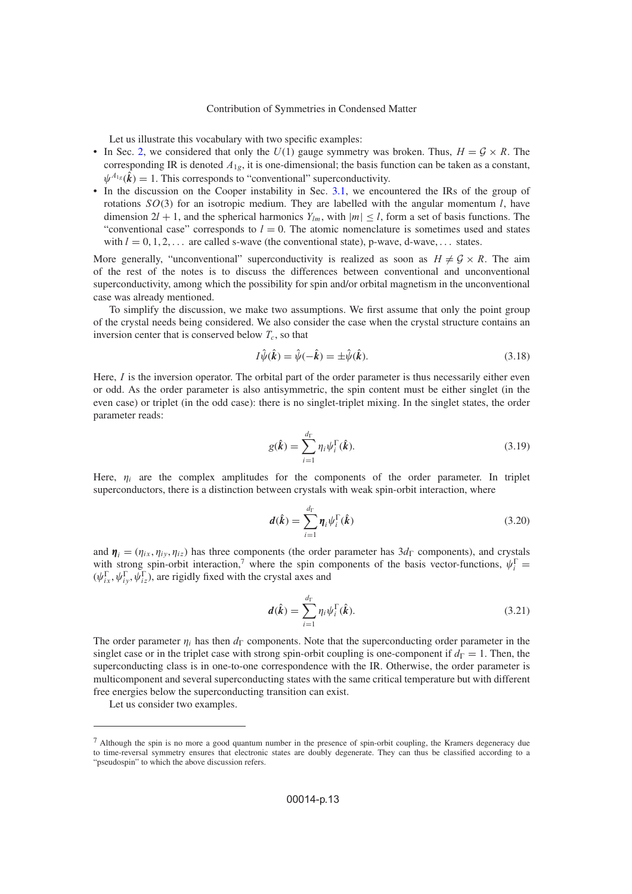Let us illustrate this vocabulary with two specific examples:

- In Sec. [2,](#page-0-0) we considered that only the  $U(1)$  gauge symmetry was broken. Thus,  $H = \mathcal{G} \times R$ . The corresponding IR is denoted  $A_{1g}$ , it is one-dimensional; the basis function can be taken as a constant,  $\psi^{A_{1g}}(\hat{\boldsymbol{k}}) = 1$ . This corresponds to "conventional" superconductivity.
- In the discussion on the Cooper instability in Sec. [3.1,](#page-8-2) we encountered the IRs of the group of rotations  $SO(3)$  for an isotropic medium. They are labelled with the angular momentum l, have dimension  $2l + 1$ , and the spherical harmonics  $Y_{lm}$ , with  $|m| < l$ , form a set of basis functions. The "conventional case" corresponds to  $l = 0$ . The atomic nomenclature is sometimes used and states with  $l = 0, 1, 2, \ldots$  are called s-wave (the conventional state), p-wave, d-wave, ... states.

More generally, "unconventional" superconductivity is realized as soon as  $H \neq \mathcal{G} \times R$ . The aim of the rest of the notes is to discuss the differences between conventional and unconventional superconductivity, among which the possibility for spin and/or orbital magnetism in the unconventional case was already mentioned.

To simplify the discussion, we make two assumptions. We first assume that only the point group of the crystal needs being considered. We also consider the case when the crystal structure contains an inversion center that is conserved below  $T_c$ , so that

<span id="page-12-1"></span>
$$
I\hat{\psi}(\hat{k}) = \hat{\psi}(-\hat{k}) = \pm \hat{\psi}(\hat{k}).\tag{3.18}
$$

<span id="page-12-0"></span>Here, I is the inversion operator. The orbital part of the order parameter is thus necessarily either even or odd. As the order parameter is also antisymmetric, the spin content must be either singlet (in the even case) or triplet (in the odd case): there is no singlet-triplet mixing. In the singlet states, the order parameter reads:

$$
g(\hat{\boldsymbol{k}}) = \sum_{i=1}^{d_{\Gamma}} \eta_i \psi_i^{\Gamma}(\hat{\boldsymbol{k}}).
$$
\n(3.19)

Here,  $\eta_i$  are the complex amplitudes for the components of the order parameter. In triplet superconductors, there is a distinction between crystals with weak spin-orbit interaction, where

$$
d(\hat{k}) = \sum_{i=1}^{d_{\Gamma}} \eta_i \psi_i^{\Gamma}(\hat{k})
$$
\n(3.20)

and  $\eta_i = (\eta_{ix}, \eta_{iv}, \eta_{iz})$  has three components (the order parameter has  $3d_\Gamma$  components), and crystals with strong spin-orbit interaction,<sup>7</sup> where the spin components of the basis vector-functions,  $\psi_i^{\Gamma}$  =  $(\psi_{ix}^{\Gamma}, \psi_{iy}^{\Gamma}, \psi_{iz}^{\Gamma})$ , are rigidly fixed with the crystal axes and

$$
d(\hat{k}) = \sum_{i=1}^{d_{\Gamma}} \eta_i \psi_i^{\Gamma}(\hat{k}).
$$
\n(3.21)

The order parameter  $\eta_i$  has then  $d_{\Gamma}$  components. Note that the superconducting order parameter in the singlet case or in the triplet case with strong spin-orbit coupling is one-component if  $d_{\Gamma} = 1$ . Then, the superconducting class is in one-to-one correspondence with the IR. Otherwise, the order parameter is multicomponent and several superconducting states with the same critical temperature but with different free energies below the superconducting transition can exist.

Let us consider two examples.

 $<sup>7</sup>$  Although the spin is no more a good quantum number in the presence of spin-orbit coupling, the Kramers degeneracy due</sup> to time-reversal symmetry ensures that electronic states are doubly degenerate. They can thus be classified according to a "pseudospin" to which the above discussion refers.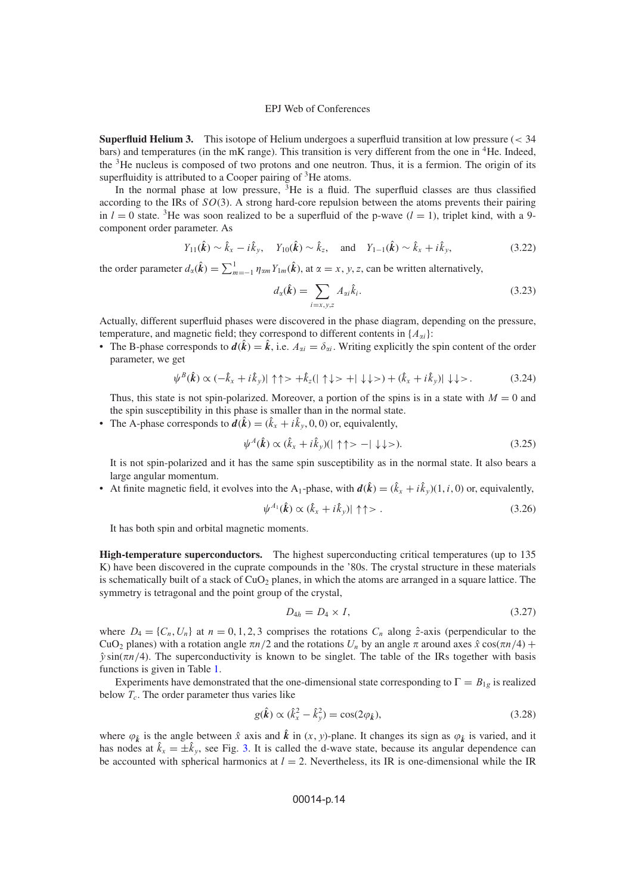**Superfluid Helium 3.** This isotope of Helium undergoes a superfluid transition at low pressure (< 34 bars) and temperatures (in the mK range). This transition is very different from the one in 4He. Indeed, the 3He nucleus is composed of two protons and one neutron. Thus, it is a fermion. The origin of its superfluidity is attributed to a Cooper pairing of <sup>3</sup>He atoms.

In the normal phase at low pressure,  ${}^{3}$ He is a fluid. The superfluid classes are thus classified according to the IRs of  $SO(3)$ . A strong hard-core repulsion between the atoms prevents their pairing in  $l = 0$  state. <sup>3</sup>He was soon realized to be a superfluid of the p-wave  $(l = 1)$ , triplet kind, with a 9component order parameter. As

$$
Y_{11}(\hat{k}) \sim \hat{k}_x - i\hat{k}_y, \quad Y_{10}(\hat{k}) \sim \hat{k}_z, \quad \text{and} \quad Y_{1-1}(\hat{k}) \sim \hat{k}_x + i\hat{k}_y,
$$
 (3.22)

the order parameter  $d_{\alpha}(\hat{k}) = \sum_{m=-1}^{1} \eta_{\alpha m} Y_{1m}(\hat{k})$ , at  $\alpha = x, y, z$ , can be written alternatively,

$$
d_{\alpha}(\hat{\mathbf{k}}) = \sum_{i=x,y,z} A_{\alpha i} \hat{k}_i.
$$
 (3.23)

Actually, different superfluid phases were discovered in the phase diagram, depending on the pressure, temperature, and magnetic field; they correspond to different contents in  $\{A_{ai}\}$ :

• The B-phase corresponds to  $d(\hat{k}) = \hat{k}$ , i.e.  $A_{\alpha i} = \delta_{\alpha i}$ . Writing explicitly the spin content of the order parameter, we get

$$
\psi^{B}(\hat{\mathbf{k}}) \propto (-\hat{k}_{x} + i\hat{k}_{y}) |\uparrow \uparrow > +\hat{k}_{z}(|\uparrow \downarrow > +|\downarrow \downarrow >) + (\hat{k}_{x} + i\hat{k}_{y}) |\downarrow \downarrow >.
$$
 (3.24)

Thus, this state is not spin-polarized. Moreover, a portion of the spins is in a state with  $M = 0$  and the spin susceptibility in this phase is smaller than in the normal state.

• The A-phase corresponds to  $d(\hat{k}) = (\hat{k}_x + i\hat{k}_y, 0, 0)$  or, equivalently,

$$
\psi^A(\hat{\mathbf{k}}) \propto (\hat{k}_x + i\hat{k}_y)(|\uparrow \uparrow \rangle - |\downarrow \downarrow \rangle).
$$
 (3.25)

It is not spin-polarized and it has the same spin susceptibility as in the normal state. It also bears a large angular momentum.

• At finite magnetic field, it evolves into the A<sub>1</sub>-phase, with  $d(\hat{k}) = (\hat{k}_x + i\hat{k}_y)(1, i, 0)$  or, equivalently,

$$
\psi^{A_1}(\hat{\mathbf{k}}) \propto (\hat{k}_x + i\hat{k}_y) |\uparrow \uparrow \rangle. \tag{3.26}
$$

It has both spin and orbital magnetic moments.

**High-temperature superconductors.** The highest superconducting critical temperatures (up to 135 K) have been discovered in the cuprate compounds in the '80s. The crystal structure in these materials is schematically built of a stack of  $CuO<sub>2</sub>$  planes, in which the atoms are arranged in a square lattice. The symmetry is tetragonal and the point group of the crystal,

$$
D_{4h} = D_4 \times I,\tag{3.27}
$$

where  $D_4 = \{C_n, U_n\}$  at  $n = 0, 1, 2, 3$  comprises the rotations  $C_n$  along  $\hat{z}$ -axis (perpendicular to the CuO<sub>2</sub> planes) with a rotation angle  $\pi n/2$  and the rotations  $U_n$  by an angle  $\pi$  around axes  $\hat{x}$  cos( $\pi n/4$ ) +  $\hat{v} \sin(\pi n/4)$ . The superconductivity is known to be singlet. The table of the IRs together with basis functions is given in Table [1.](#page-14-0)

Experiments have demonstrated that the one-dimensional state corresponding to  $\Gamma = B_{1g}$  is realized below  $T_c$ . The order parameter thus varies like

<span id="page-13-0"></span>
$$
g(\hat{k}) \propto (\hat{k}_x^2 - \hat{k}_y^2) = \cos(2\varphi_{\hat{k}}),
$$
\n(3.28)

where  $\varphi_k$  is the angle between  $\hat{x}$  axis and  $\hat{k}$  in  $(x, y)$ -plane. It changes its sign as  $\varphi_k$  is varied, and it has nodes at  $\hat{k}_x = \pm \hat{k}_y$ , see Fig. [3.](#page-14-1) It is called the d-wave state, because its angular dependence can be accounted with spherical harmonics at  $l = 2$ . Nevertheless, its IR is one-dimensional while the IR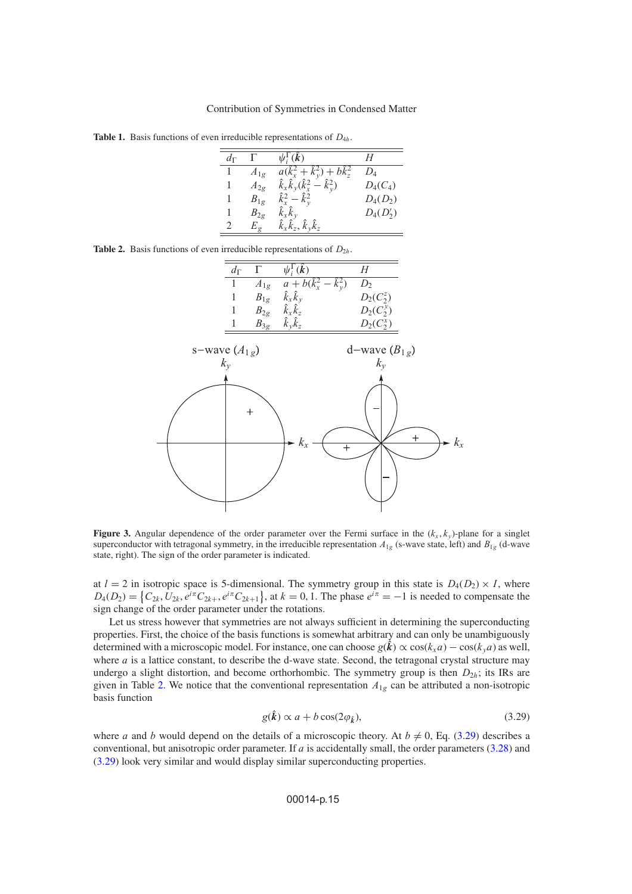<span id="page-14-0"></span>**Table 1.** Basis functions of even irreducible representations of  $D_{4h}$ .

| $d_{\Gamma}$ |          | $\psi_i^{\Gamma}(\hat{\bm{k}})$                   | Н           |
|--------------|----------|---------------------------------------------------|-------------|
|              | $A_{1g}$ | $a(\hat{k}_x^2 + \hat{k}_y^2) + b\hat{k}_z^2$     | $D_4$       |
|              | $A_{2g}$ | $\hat{k}_x \hat{k}_y (\hat{k}_x^2 - \hat{k}_y^2)$ | $D_4(C_4)$  |
|              | $B_{1g}$ | $\hat{k}_{r}^{2} - \hat{k}_{v}^{2}$               | $D_4(D_2)$  |
|              | $B_{2g}$ | $\hat{k}_x \hat{k}_y$                             | $D_4(D'_2)$ |
|              | $E_g$    | $\hat{k}_x \hat{k}_z, \hat{k}_y \hat{k}_z$        |             |
|              |          |                                                   |             |

<span id="page-14-2"></span><span id="page-14-1"></span>

|  |  |  |  |  |  |  | <b>Table 2.</b> Basis functions of even irreducible representations of $D_{2h}$ . |  |  |
|--|--|--|--|--|--|--|-----------------------------------------------------------------------------------|--|--|
|--|--|--|--|--|--|--|-----------------------------------------------------------------------------------|--|--|





**Figure 3.** Angular dependence of the order parameter over the Fermi surface in the  $(k_x, k_y)$ -plane for a singlet superconductor with tetragonal symmetry, in the irreducible representation  $A_{1g}$  (s-wave state, left) and  $B_{1g}$  (d-wave state, right). The sign of the order parameter is indicated.

at  $l = 2$  in isotropic space is 5-dimensional. The symmetry group in this state is  $D_4(D_2) \times I$ , where  $D_4(D_2) = \{C_{2k}, U_{2k}, e^{i\pi}C_{2k+1}, e^{i\pi}C_{2k+1}\}\$ , at  $k = 0, 1$ . The phase  $e^{i\pi} = -1$  is needed to compensate the sign change of the order parameter under the rotations.

Let us stress however that symmetries are not always sufficient in determining the superconducting properties. First, the choice of the basis functions is somewhat arbitrary and can only be unambiguously determined with a microscopic model. For instance, one can choose  $g(\hat{k}) \propto \cos(k_x a) - \cos(k_y a)$  as well, where  $a$  is a lattice constant, to describe the d-wave state. Second, the tetragonal crystal structure may undergo a slight distortion, and become orthorhombic. The symmetry group is then  $D_{2h}$ ; its IRs are given in Table [2.](#page-14-2) We notice that the conventional representation  $A_{1g}$  can be attributed a non-isotropic basis function

$$
g(\hat{k}) \propto a + b \cos(2\varphi_{\hat{k}}),\tag{3.29}
$$

<span id="page-14-3"></span>where a and b would depend on the details of a microscopic theory. At  $b \neq 0$ , Eq. [\(3.29\)](#page-14-3) describes a conventional, but anisotropic order parameter. If  $a$  is accidentally small, the order parameters [\(3.28\)](#page-13-0) and [\(3.29\)](#page-14-3) look very similar and would display similar superconducting properties.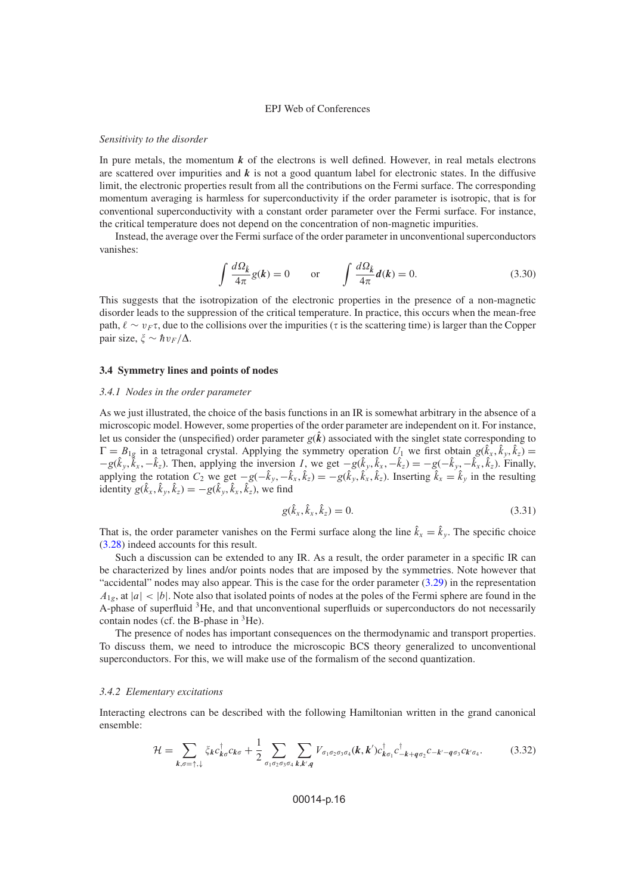#### *Sensitivity to the disorder*

In pure metals, the momentum  $k$  of the electrons is well defined. However, in real metals electrons are scattered over impurities and  $k$  is not a good quantum label for electronic states. In the diffusive limit, the electronic properties result from all the contributions on the Fermi surface. The corresponding momentum averaging is harmless for superconductivity if the order parameter is isotropic, that is for conventional superconductivity with a constant order parameter over the Fermi surface. For instance, the critical temperature does not depend on the concentration of non-magnetic impurities.

Instead, the average over the Fermi surface of the order parameter in unconventional superconductors vanishes:

$$
\int \frac{d\Omega_{\hat{k}}}{4\pi} g(k) = 0 \quad \text{or} \quad \int \frac{d\Omega_{\hat{k}}}{4\pi} d(k) = 0. \tag{3.30}
$$

This suggests that the isotropization of the electronic properties in the presence of a non-magnetic disorder leads to the suppression of the critical temperature. In practice, this occurs when the mean-free path,  $\ell \sim v_F \tau$ , due to the collisions over the impurities ( $\tau$  is the scattering time) is larger than the Copper pair size,  $\xi \sim \hbar v_F/\Delta$ .

## <span id="page-15-0"></span>**3.4 Symmetry lines and points of nodes**

## *3.4.1 Nodes in the order parameter*

As we just illustrated, the choice of the basis functions in an IR is somewhat arbitrary in the absence of a microscopic model. However, some properties of the order parameter are independent on it. For instance, let us consider the (unspecified) order parameter  $g(\hat{k})$  associated with the singlet state corresponding to  $\Gamma = B_{1g}$  in a tetragonal crystal. Applying the symmetry operation  $U_1$  we first obtain  $g(\hat{k}_x, \hat{k}_y, \hat{k}_z) =$  $-g(\hat{k}_y, \check{k}_x, -\hat{k}_z)$ . Then, applying the inversion *I*, we get  $-g(\hat{k}_y, \hat{k}_x, -\hat{k}_z) = -g(-\hat{k}_y, -\hat{k}_x, \hat{k}_z)$ . Finally, applying the rotation  $C_2$  we get  $-g(-\hat{k}_y, -\hat{k}_x, \hat{k}_z) = -g(\hat{k}_y, \hat{k}_x, \hat{k}_z)$ . Inserting  $\hat{k}_x = \hat{k}_y$  in the resulting identity  $g(\hat{k}_x, \hat{k}_y, \hat{k}_z) = -g(\hat{k}_y, \hat{k}_x, \hat{k}_z)$ , we find

$$
g(\hat{k}_x, \hat{k}_x, \hat{k}_z) = 0.
$$
\n(3.31)

That is, the order parameter vanishes on the Fermi surface along the line  $\hat{k}_x = \hat{k}_y$ . The specific choice [\(3.28\)](#page-13-0) indeed accounts for this result.

Such a discussion can be extended to any IR. As a result, the order parameter in a specific IR can be characterized by lines and/or points nodes that are imposed by the symmetries. Note however that "accidental" nodes may also appear. This is the case for the order parameter [\(3.29\)](#page-14-3) in the representation  $A_{1g}$ , at  $|a| < |b|$ . Note also that isolated points of nodes at the poles of the Fermi sphere are found in the A-phase of superfluid <sup>3</sup>He, and that unconventional superfluids or superconductors do not necessarily contain nodes (cf. the B-phase in  ${}^{3}$ He).

The presence of nodes has important consequences on the thermodynamic and transport properties. To discuss them, we need to introduce the microscopic BCS theory generalized to unconventional superconductors. For this, we will make use of the formalism of the second quantization.

## *3.4.2 Elementary excitations*

<span id="page-15-1"></span>Interacting electrons can be described with the following Hamiltonian written in the grand canonical ensemble:

$$
\mathcal{H} = \sum_{k,\sigma=\uparrow,\downarrow} \xi_k c_{k\sigma}^\dagger c_{k\sigma} + \frac{1}{2} \sum_{\sigma_1 \sigma_2 \sigma_3 \sigma_4} \sum_{k,k',q} V_{\sigma_1 \sigma_2 \sigma_3 \sigma_4}(k,k') c_{k\sigma_1}^\dagger c_{-k+q\sigma_2}^\dagger c_{-k'-q\sigma_3} c_{k'\sigma_4}.\tag{3.32}
$$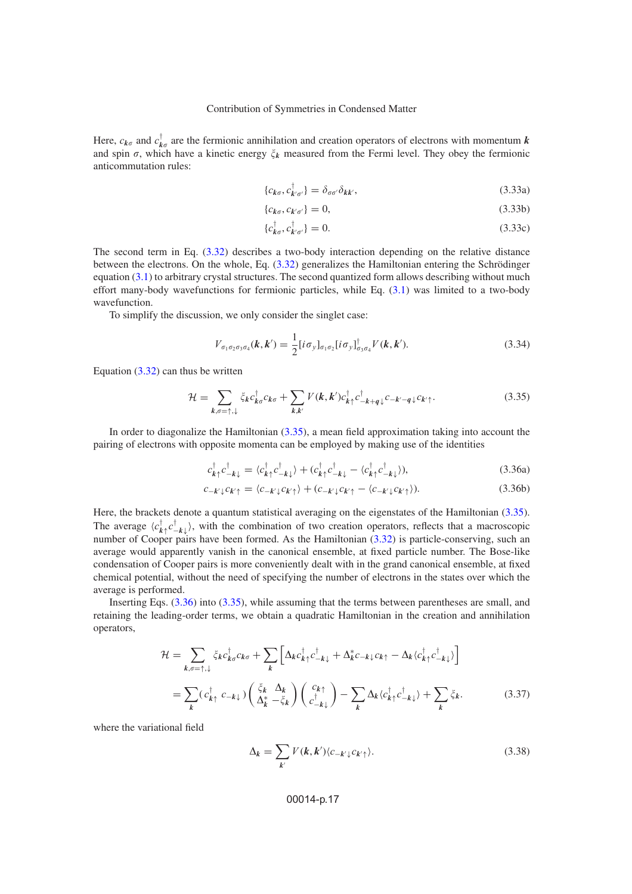Here,  $c_{k\sigma}$  and  $c_{k\sigma}^{\dagger}$  are the fermionic annihilation and creation operators of electrons with momentum *k* and spin  $\sigma$ , which have a kinetic energy  $\xi_k$  measured from the Fermi level. They obey the fermionic anticommutation rules:

$$
\{c_{k\sigma}, c_{k'\sigma'}^\dagger\} = \delta_{\sigma\sigma'}\delta_{kk'},\tag{3.33a}
$$

$$
\{c_{k\sigma}, c_{k'\sigma'}\} = 0,\tag{3.33b}
$$

$$
\{c_{\mathbf{k}\sigma}^{\dagger}, c_{\mathbf{k}'\sigma'}^{\dagger}\} = 0. \tag{3.33c}
$$

The second term in Eq. [\(3.32\)](#page-15-1) describes a two-body interaction depending on the relative distance between the electrons. On the whole, Eq. [\(3.32\)](#page-15-1) generalizes the Hamiltonian entering the Schrödinger equation [\(3.1\)](#page-8-1) to arbitrary crystal structures. The second quantized form allows describing without much effort many-body wavefunctions for fermionic particles, while Eq. [\(3.1\)](#page-8-1) was limited to a two-body wavefunction.

To simplify the discussion, we only consider the singlet case:

$$
V_{\sigma_1 \sigma_2 \sigma_3 \sigma_4}(\boldsymbol{k}, \boldsymbol{k}') = \frac{1}{2} [i \sigma_y]_{\sigma_1 \sigma_2} [i \sigma_y]_{\sigma_3 \sigma_4}^{\dagger} V(\boldsymbol{k}, \boldsymbol{k}'). \tag{3.34}
$$

Equation  $(3.32)$  can thus be written

<span id="page-16-0"></span>
$$
\mathcal{H} = \sum_{k,\sigma=\uparrow,\downarrow} \xi_k c_{k\sigma}^\dagger c_{k\sigma} + \sum_{k,k'} V(k,k') c_{k\uparrow}^\dagger c_{-k+q\downarrow}^{\dagger} c_{-k'-q\downarrow} c_{k'\uparrow}.
$$
 (3.35)

In order to diagonalize the Hamiltonian [\(3.35\)](#page-16-0), a mean field approximation taking into account the pairing of electrons with opposite momenta can be employed by making use of the identities

<span id="page-16-1"></span>
$$
c_{k\uparrow}^{\dagger}c_{-k\downarrow}^{\dagger} = \langle c_{k\uparrow}^{\dagger}c_{-k\downarrow}^{\dagger} \rangle + (c_{k\uparrow}^{\dagger}c_{-k\downarrow}^{\dagger} - \langle c_{k\uparrow}^{\dagger}c_{-k\downarrow}^{\dagger} \rangle), \tag{3.36a}
$$

$$
c_{-k'\downarrow}c_{k'\uparrow} = \langle c_{-k'\downarrow}c_{k'\uparrow} \rangle + (c_{-k'\downarrow}c_{k'\uparrow} - \langle c_{-k'\downarrow}c_{k'\uparrow} \rangle). \tag{3.36b}
$$

Here, the brackets denote a quantum statistical averaging on the eigenstates of the Hamiltonian [\(3.35\)](#page-16-0). The average  $\langle c_{k\uparrow}^{\dagger} c_{-k\downarrow}^{\dagger} \rangle$ , with the combination of two creation operators, reflects that a macroscopic number of Cooper pairs have been formed. As the Hamiltonian [\(3.32\)](#page-15-1) is particle-conserving, such an average would apparently vanish in the canonical ensemble, at fixed particle number. The Bose-like condensation of Cooper pairs is more conveniently dealt with in the grand canonical ensemble, at fixed chemical potential, without the need of specifying the number of electrons in the states over which the average is performed.

<span id="page-16-2"></span>Inserting Eqs. [\(3.36\)](#page-16-1) into [\(3.35\)](#page-16-0), while assuming that the terms between parentheses are small, and retaining the leading-order terms, we obtain a quadratic Hamiltonian in the creation and annihilation operators,

$$
\mathcal{H} = \sum_{k,\sigma=\uparrow,\downarrow} \xi_k c_{k\sigma}^{\dagger} c_{k\sigma} + \sum_{k} \left[ \Delta_k c_{k\uparrow}^{\dagger} c_{-k\downarrow}^{\dagger} + \Delta_k^* c_{-k\downarrow} c_{k\uparrow} - \Delta_k \langle c_{k\uparrow}^{\dagger} c_{-k\downarrow}^{\dagger} \rangle \right]
$$
\n
$$
= \sum_{k} (c_{k\uparrow}^{\dagger} c_{-k\downarrow}) \left( \frac{\xi_k}{\Delta_k^*} - \xi_k \right) \left( \frac{c_{k\uparrow}}{c_{-k\downarrow}^{\dagger}} \right) - \sum_{k} \Delta_k \langle c_{k\uparrow}^{\dagger} c_{-k\downarrow}^{\dagger} \rangle + \sum_{k} \xi_k. \tag{3.37}
$$

<span id="page-16-3"></span>where the variational field

$$
\Delta_k = \sum_{k'} V(k, k') \langle c_{-k'\downarrow} c_{k'\uparrow} \rangle. \tag{3.38}
$$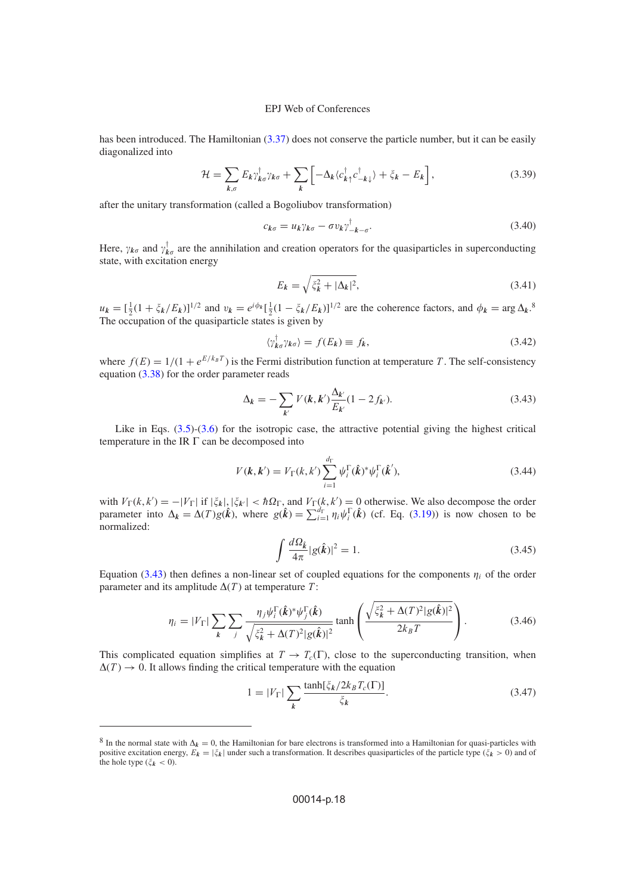has been introduced. The Hamiltonian [\(3.37\)](#page-16-2) does not conserve the particle number, but it can be easily diagonalized into

$$
\mathcal{H} = \sum_{k,\sigma} E_k \gamma_{k\sigma}^{\dagger} \gamma_{k\sigma} + \sum_{k} \left[ -\Delta_k \langle c_{k\uparrow}^{\dagger} c_{-k\downarrow}^{\dagger} \rangle + \xi_k - E_k \right],\tag{3.39}
$$

after the unitary transformation (called a Bogoliubov transformation)

$$
c_{k\sigma} = u_k \gamma_{k\sigma} - \sigma v_k \gamma_{-k-\sigma}^{\dagger}.
$$
\n(3.40)

<span id="page-17-1"></span>Here,  $\gamma_{k\sigma}$  and  $\gamma_{k\sigma}^{\dagger}$  are the annihilation and creation operators for the quasiparticles in superconducting state, with excitation energy

$$
E_k = \sqrt{\xi_k^2 + |\Delta_k|^2},\tag{3.41}
$$

 $u_k = \left[\frac{1}{2}(1 + \zeta_k/E_k)\right]^{1/2}$  and  $v_k = e^{i\phi_k} \left[\frac{1}{2}(1 - \zeta_k/E_k)\right]^{1/2}$  are the coherence factors, and  $\phi_k = \arg \Delta_k$ .<sup>8</sup> The occupation of the quasiparticle states is given by

$$
\langle \gamma_{k\sigma}^{\dagger} \gamma_{k\sigma} \rangle = f(E_k) \equiv f_k,\tag{3.42}
$$

where  $f(E) = 1/(1 + e^{E/k_B T})$  is the Fermi distribution function at temperature T. The self-consistency equation [\(3.38\)](#page-16-3) for the order parameter reads

<span id="page-17-0"></span>
$$
\Delta_k = -\sum_{k'} V(k, k') \frac{\Delta_{k'}}{E_{k'}} (1 - 2 f_{k'}).
$$
\n(3.43)

Like in Eqs.  $(3.5)-(3.6)$  $(3.5)-(3.6)$  $(3.5)-(3.6)$  for the isotropic case, the attractive potential giving the highest critical temperature in the IR  $\Gamma$  can be decomposed into

$$
V(\mathbf{k}, \mathbf{k}') = V_{\Gamma}(k, k') \sum_{i=1}^{d_{\Gamma}} \psi_i^{\Gamma}(\hat{\mathbf{k}})^* \psi_i^{\Gamma}(\hat{\mathbf{k}}'),
$$
\n(3.44)

with  $V_{\Gamma}(k, k') = -|V_{\Gamma}|$  if  $|\xi_k|, |\xi_{k'}| < \hbar \Omega_{\Gamma}$ , and  $V_{\Gamma}(k, k') = 0$  otherwise. We also decompose the order parameter into  $\Delta_k = \Delta(T)g(\hat{k})$ , where  $g(\hat{k}) = \sum_{i=1}^{d} \eta_i \psi_i^{\Gamma}(\hat{k})$  (cf. Eq. [\(3.19\)](#page-12-0)) is now chosen to be normalized:

$$
\int \frac{d\Omega_{\hat{k}}}{4\pi} |g(\hat{k})|^2 = 1. \tag{3.45}
$$

Equation [\(3.43\)](#page-17-0) then defines a non-linear set of coupled equations for the components  $\eta_i$  of the order parameter and its amplitude  $\Delta(T)$  at temperature T:

$$
\eta_i = |V_\Gamma| \sum_{\mathbf{k}} \sum_j \frac{\eta_j \psi_i^{\Gamma}(\hat{\mathbf{k}})^* \psi_j^{\Gamma}(\hat{\mathbf{k}})}{\sqrt{\xi_{\mathbf{k}}^2 + \Delta(T)^2 |g(\hat{\mathbf{k}})|^2}} \tanh\left(\frac{\sqrt{\xi_{\mathbf{k}}^2 + \Delta(T)^2 |g(\hat{\mathbf{k}})|^2}}{2k_B T}\right). \tag{3.46}
$$

This complicated equation simplifies at  $T \to T_c(\Gamma)$ , close to the superconducting transition, when  $\Delta(T) \rightarrow 0$ . It allows finding the critical temperature with the equation

$$
1 = |V_{\Gamma}| \sum_{k} \frac{\tanh[\xi_k/2k_B T_c(\Gamma)]}{\xi_k}.
$$
\n(3.47)

<sup>&</sup>lt;sup>8</sup> In the normal state with  $\Delta_k = 0$ , the Hamiltonian for bare electrons is transformed into a Hamiltonian for quasi-particles with positive excitation energy,  $E_k = |\xi_k|$  under such a transformation. It describes quasiparticles of the particle type ( $\xi_k > 0$ ) and of the hole type  $(\zeta_k < 0)$ .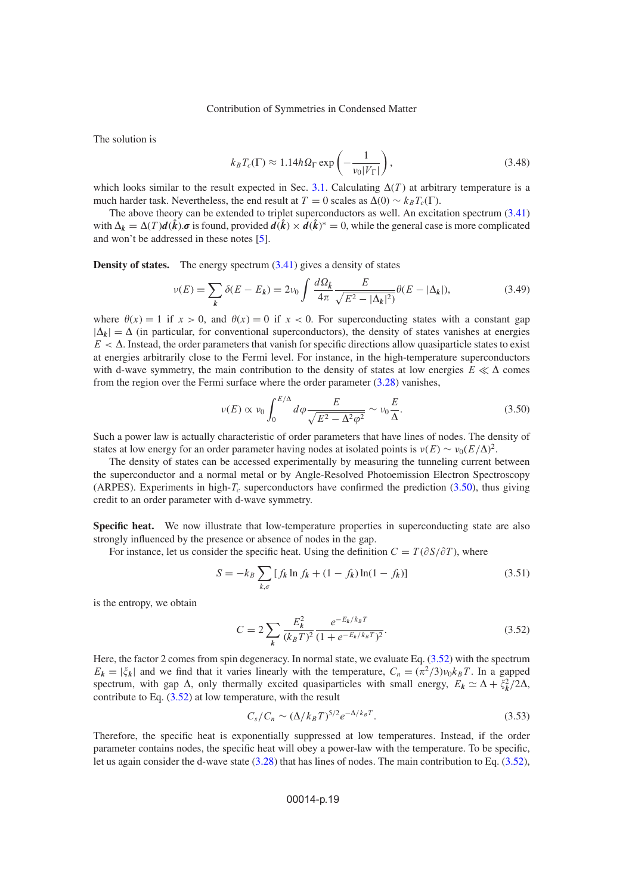The solution is

$$
k_B T_c(\Gamma) \approx 1.14 \hbar \Omega_{\Gamma} \exp\left(-\frac{1}{v_0|V_{\Gamma}|}\right),\tag{3.48}
$$

which looks similar to the result expected in Sec. [3.1.](#page-8-2) Calculating  $\Delta(T)$  at arbitrary temperature is a much harder task. Nevertheless, the end result at  $T = 0$  scales as  $\Delta(0) \sim k_B T_c(\Gamma)$ .

The above theory can be extended to triplet superconductors as well. An excitation spectrum [\(3.41\)](#page-17-1) with  $\Delta_k = \Delta(T) d(\hat{k}) \cdot \sigma$  is found, provided  $d(\hat{k}) \times d(\hat{k})^* = 0$ , while the general case is more complicated and won't be addressed in these notes [\[5\]](#page-23-3).

**Density of states.** The energy spectrum  $(3.41)$  gives a density of states

$$
\nu(E) = \sum_{k} \delta(E - E_{k}) = 2\nu_{0} \int \frac{d\Omega_{k}}{4\pi} \frac{E}{\sqrt{E^{2} - |\Delta_{k}|^{2}}} \theta(E - |\Delta_{k}|),
$$
\n(3.49)

where  $\theta(x) = 1$  if  $x > 0$ , and  $\theta(x) = 0$  if  $x < 0$ . For superconducting states with a constant gap  $|\Delta_k| = \Delta$  (in particular, for conventional superconductors), the density of states vanishes at energies  $E < \Delta$ . Instead, the order parameters that vanish for specific directions allow quasiparticle states to exist at energies arbitrarily close to the Fermi level. For instance, in the high-temperature superconductors with d-wave symmetry, the main contribution to the density of states at low energies  $E \ll \Delta$  comes from the region over the Fermi surface where the order parameter  $(3.28)$  vanishes,

<span id="page-18-0"></span>
$$
\nu(E) \propto \nu_0 \int_0^{E/\Delta} d\varphi \frac{E}{\sqrt{E^2 - \Delta^2 \varphi^2}} \sim \nu_0 \frac{E}{\Delta}.
$$
\n(3.50)

Such a power law is actually characteristic of order parameters that have lines of nodes. The density of states at low energy for an order parameter having nodes at isolated points is  $\nu(E) \sim \nu_0 (E/\Delta)^2$ .

The density of states can be accessed experimentally by measuring the tunneling current between the superconductor and a normal metal or by Angle-Resolved Photoemission Electron Spectroscopy (ARPES). Experiments in high- $T_c$  superconductors have confirmed the prediction [\(3.50\)](#page-18-0), thus giving credit to an order parameter with d-wave symmetry.

**Specific heat.** We now illustrate that low-temperature properties in superconducting state are also strongly influenced by the presence or absence of nodes in the gap.

For instance, let us consider the specific heat. Using the definition  $C = T(\partial S/\partial T)$ , where

$$
S = -k_B \sum_{k,\sigma} [f_k \ln f_k + (1 - f_k) \ln(1 - f_k)] \tag{3.51}
$$

<span id="page-18-1"></span>is the entropy, we obtain

$$
C = 2 \sum_{k} \frac{E_k^2}{(k_B T)^2} \frac{e^{-E_k/k_B T}}{(1 + e^{-E_k/k_B T})^2}.
$$
 (3.52)

Here, the factor 2 comes from spin degeneracy. In normal state, we evaluate Eq. [\(3.52\)](#page-18-1) with the spectrum  $E_k = |\xi_k|$  and we find that it varies linearly with the temperature,  $C_n = (\pi^2/3)v_0k_BT$ . In a gapped spectrum, with gap  $\Delta$ , only thermally excited quasiparticles with small energy,  $E_k \simeq \Delta + \xi_k^2/2\Delta$ , contribute to Eq. [\(3.52\)](#page-18-1) at low temperature, with the result

$$
C_s/C_n \sim (\Delta/k_B T)^{5/2} e^{-\Delta/k_B T}.
$$
\n(3.53)

Therefore, the specific heat is exponentially suppressed at low temperatures. Instead, if the order parameter contains nodes, the specific heat will obey a power-law with the temperature. To be specific, let us again consider the d-wave state [\(3.28\)](#page-13-0) that has lines of nodes. The main contribution to Eq. [\(3.52\)](#page-18-1),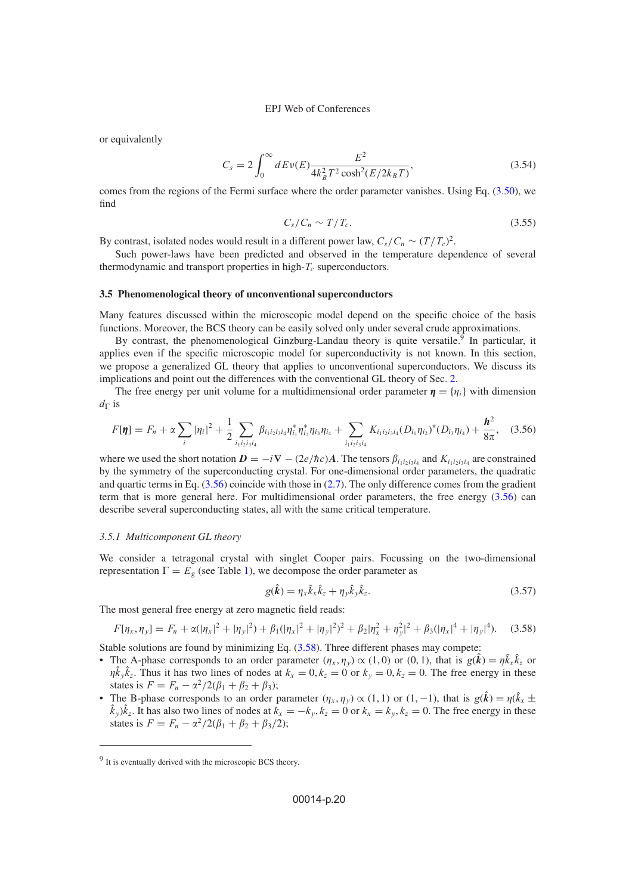or equivalently

$$
C_s = 2 \int_0^\infty dE \nu(E) \frac{E^2}{4k_B^2 T^2 \cosh^2(E/2k_B T)},
$$
\n(3.54)

comes from the regions of the Fermi surface where the order parameter vanishes. Using Eq. [\(3.50\)](#page-18-0), we find

$$
C_s/C_n \sim T/T_c. \tag{3.55}
$$

By contrast, isolated nodes would result in a different power law,  $C_s/C_n \sim (T/T_c)^2$ .

Such power-laws have been predicted and observed in the temperature dependence of several thermodynamic and transport properties in high- $T_c$  superconductors.

## **3.5 Phenomenological theory of unconventional superconductors**

Many features discussed within the microscopic model depend on the specific choice of the basis functions. Moreover, the BCS theory can be easily solved only under several crude approximations.

By contrast, the phenomenological Ginzburg-Landau theory is quite versatile.<sup>9</sup> In particular, it applies even if the specific microscopic model for superconductivity is not known. In this section, we propose a generalized GL theory that applies to unconventional superconductors. We discuss its implications and point out the differences with the conventional GL theory of Sec. [2.](#page-0-0)

<span id="page-19-0"></span>The free energy per unit volume for a multidimensional order parameter  $\eta = \{\eta_i\}$  with dimension  $d_{\Gamma}$  is

$$
F[\pmb{\eta}] = F_n + \alpha \sum_i |\eta_i|^2 + \frac{1}{2} \sum_{i_1 i_2 i_3 i_4} \beta_{i_1 i_2 i_3 i_4} \eta_{i_1}^* \eta_{i_2}^* \eta_{i_3} \eta_{i_4} + \sum_{i_1 i_2 i_3 i_4} K_{i_1 i_2 i_3 i_4} (D_{i_1} \eta_{i_2})^* (D_{i_3} \eta_{i_4}) + \frac{\pmb{h}^2}{8\pi}, \quad (3.56)
$$

where we used the short notation  $D = -i\nabla - (2e/\hbar c)A$ . The tensors  $\beta_{i_1 i_2 i_3 i_4}$  and  $K_{i_1 i_2 i_3 i_4}$  are constrained by the symmetry of the superconducting crystal. For one-dimensional order parameters, the quadratic and quartic terms in Eq. [\(3.56\)](#page-19-0) coincide with those in [\(2.7\)](#page-2-0). The only difference comes from the gradient term that is more general here. For multidimensional order parameters, the free energy [\(3.56\)](#page-19-0) can describe several superconducting states, all with the same critical temperature.

## <span id="page-19-2"></span>*3.5.1 Multicomponent GL theory*

We consider a tetragonal crystal with singlet Cooper pairs. Focussing on the two-dimensional representation  $\Gamma = E_g$  (see Table [1\)](#page-14-0), we decompose the order parameter as

<span id="page-19-1"></span>
$$
g(\hat{k}) = \eta_x \hat{k}_x \hat{k}_z + \eta_y \hat{k}_y \hat{k}_z.
$$
 (3.57)

The most general free energy at zero magnetic field reads:

$$
F[\eta_x, \eta_y] = F_n + \alpha(|\eta_x|^2 + |\eta_y|^2) + \beta_1(|\eta_x|^2 + |\eta_y|^2)^2 + \beta_2|\eta_x^2 + \eta_y^2|^2 + \beta_3(|\eta_x|^4 + |\eta_y|^4). \tag{3.58}
$$

Stable solutions are found by minimizing Eq.  $(3.58)$ . Three different phases may compete:

- The A-phase corresponds to an order parameter  $(\eta_x, \eta_y) \propto (1, 0)$  or  $(0, 1)$ , that is  $g(\hat{k}) = \eta \hat{k}_x \hat{k}_z$  or  $\eta \hat{k}_{y} \hat{k}_{z}$ . Thus it has two lines of nodes at  $k_{x} = 0, k_{z} = 0$  or  $k_{y} = 0, k_{z} = 0$ . The free energy in these states is  $F = F_n - \alpha^2/2(\beta_1 + \beta_2 + \beta_3);$
- The B-phase corresponds to an order parameter  $(\eta_x, \eta_y) \propto (1, 1)$  or  $(1, -1)$ , that is  $g(\hat{k}) = \eta(\hat{k}_x \pm \hat{k}_y)$  $(k_y)k_z$ . It has also two lines of nodes at  $k_x = -k_y, k_z = 0$  or  $k_x = k_y, k_z = 0$ . The free energy in these states is  $F = F_n - \alpha^2/2(\beta_1 + \beta_2 + \beta_3/2);$

<sup>9</sup> It is eventually derived with the microscopic BCS theory.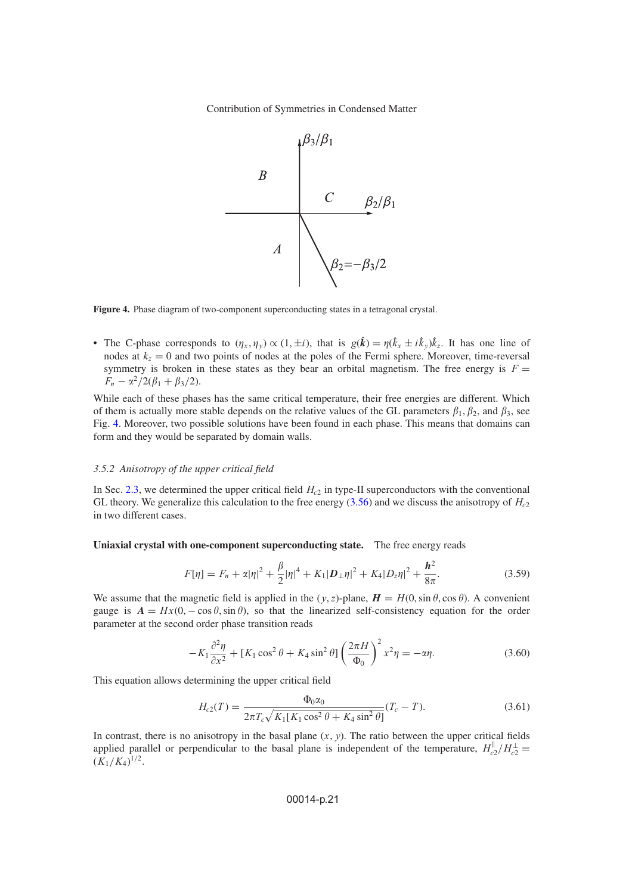

<span id="page-20-0"></span>**Figure 4.** Phase diagram of two-component superconducting states in a tetragonal crystal.

• The C-phase corresponds to  $(\eta_x, \eta_y) \propto (1, \pm i)$ , that is  $g(\hat{k}) = \eta(\hat{k}_x \pm i\hat{k}_y)\hat{k}_z$ . It has one line of nodes at  $k_z = 0$  and two points of nodes at the poles of the Fermi sphere. Moreover, time-reversal symmetry is broken in these states as they bear an orbital magnetism. The free energy is  $F =$  $F_n - \alpha^2/2(\beta_1 + \beta_3/2).$ 

While each of these phases has the same critical temperature, their free energies are different. Which of them is actually more stable depends on the relative values of the GL parameters  $\beta_1, \beta_2$ , and  $\beta_3$ , see Fig. [4.](#page-20-0) Moreover, two possible solutions have been found in each phase. This means that domains can form and they would be separated by domain walls.

## *3.5.2 Anisotropy of the upper critical field*

In Sec. [2.3,](#page-3-0) we determined the upper critical field  $H_{c2}$  in type-II superconductors with the conventional GL theory. We generalize this calculation to the free energy  $(3.56)$  and we discuss the anisotropy of  $H_{c2}$ in two different cases.

**Uniaxial crystal with one-component superconducting state.** The free energy reads

$$
F[\eta] = F_n + \alpha |\eta|^2 + \frac{\beta}{2} |\eta|^4 + K_1 |D_\perp \eta|^2 + K_4 |D_z \eta|^2 + \frac{h^2}{8\pi}.
$$
 (3.59)

We assume that the magnetic field is applied in the  $(y, z)$ -plane,  $H = H(0, \sin \theta, \cos \theta)$ . A convenient gauge is  $A = Hx(0, -\cos\theta, \sin\theta)$ , so that the linearized self-consistency equation for the order parameter at the second order phase transition reads

$$
-K_1 \frac{\partial^2 \eta}{\partial x^2} + [K_1 \cos^2 \theta + K_4 \sin^2 \theta] \left(\frac{2\pi H}{\Phi_0}\right)^2 x^2 \eta = -\alpha \eta.
$$
 (3.60)

This equation allows determining the upper critical field

$$
H_{c2}(T) = \frac{\Phi_0 \alpha_0}{2\pi T_c \sqrt{K_1[K_1 \cos^2 \theta + K_4 \sin^2 \theta]}} (T_c - T). \tag{3.61}
$$

In contrast, there is no anisotropy in the basal plane  $(x, y)$ . The ratio between the upper critical fields applied parallel or perpendicular to the basal plane is independent of the temperature,  $H_{c2}^{\parallel}/H_{c2}^{\perp} =$  $(K_1/K_4)^{1/2}.$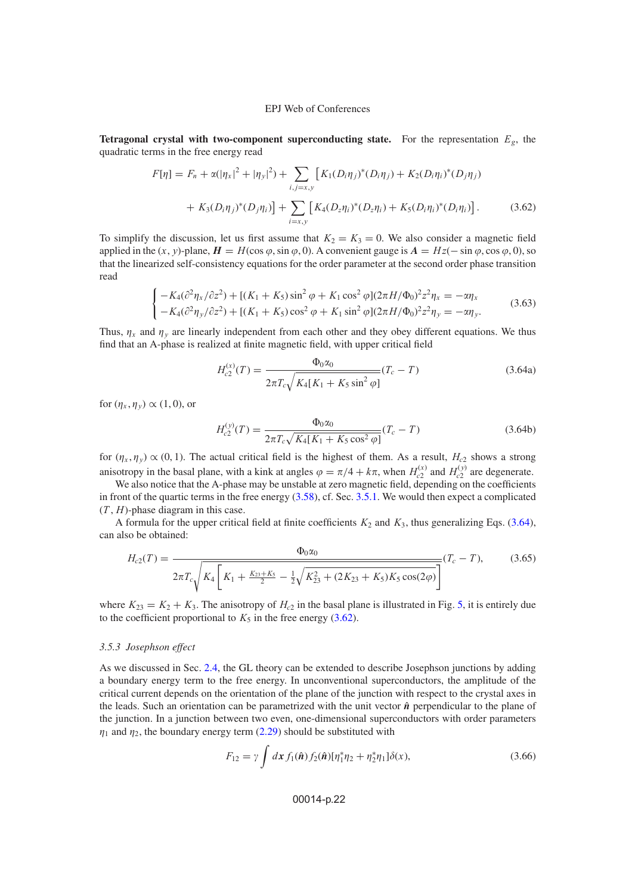<span id="page-21-1"></span>**Tetragonal crystal with two-component superconducting state.** For the representation  $E_g$ , the quadratic terms in the free energy read

$$
F[\eta] = F_n + \alpha(|\eta_x|^2 + |\eta_y|^2) + \sum_{i,j=x,y} \left[ K_1(D_i \eta_j)^* (D_i \eta_j) + K_2(D_i \eta_i)^* (D_j \eta_j) \right. \\ \left. + K_3(D_i \eta_j)^* (D_j \eta_i) \right] + \sum_{i=x,y} \left[ K_4(D_z \eta_i)^* (D_z \eta_i) + K_5(D_i \eta_i)^* (D_i \eta_i) \right]. \tag{3.62}
$$

To simplify the discussion, let us first assume that  $K_2 = K_3 = 0$ . We also consider a magnetic field applied in the  $(x, y)$ -plane,  $H = H(\cos \varphi, \sin \varphi, 0)$ . A convenient gauge is  $A = Hz(-\sin \varphi, \cos \varphi, 0)$ , so that the linearized self-consistency equations for the order parameter at the second order phase transition read

$$
\begin{cases}\n-K_4(\partial^2 \eta_x / \partial z^2) + \left[ (K_1 + K_5) \sin^2 \varphi + K_1 \cos^2 \varphi \right] (2\pi H / \Phi_0)^2 z^2 \eta_x = -\alpha \eta_x \\
-K_4(\partial^2 \eta_y / \partial z^2) + \left[ (K_1 + K_5) \cos^2 \varphi + K_1 \sin^2 \varphi \right] (2\pi H / \Phi_0)^2 z^2 \eta_y = -\alpha \eta_y.\n\end{cases} (3.63)
$$

Thus,  $\eta_x$  and  $\eta_y$  are linearly independent from each other and they obey different equations. We thus find that an A-phase is realized at finite magnetic field, with upper critical field

<span id="page-21-0"></span>
$$
H_{c2}^{(x)}(T) = \frac{\Phi_0 \alpha_0}{2\pi T_c \sqrt{K_4[K_1 + K_5 \sin^2 \varphi]}} (T_c - T)
$$
\n(3.64a)

for  $(\eta_x, \eta_y) \propto (1, 0)$ , or

$$
H_{c2}^{(y)}(T) = \frac{\Phi_0 \alpha_0}{2\pi T_c \sqrt{K_4[K_1 + K_5 \cos^2 \varphi]}} (T_c - T)
$$
\n(3.64b)

for  $(\eta_x, \eta_y) \propto (0, 1)$ . The actual critical field is the highest of them. As a result,  $H_{c2}$  shows a strong anisotropy in the basal plane, with a kink at angles  $\varphi = \pi/4 + k\pi$ , when  $H_{c2}^{(x)}$  and  $H_{c2}^{(y)}$  are degenerate.

We also notice that the A-phase may be unstable at zero magnetic field, depending on the coefficients in front of the quartic terms in the free energy [\(3.58\)](#page-19-1), cf. Sec. [3.5.1.](#page-19-2) We would then expect a complicated  $(T, H)$ -phase diagram in this case.

A formula for the upper critical field at finite coefficients  $K_2$  and  $K_3$ , thus generalizing Eqs. [\(3.64\)](#page-21-0), can also be obtained:

$$
H_{c2}(T) = \frac{\Phi_0 \alpha_0}{2\pi T_c \sqrt{K_4 \left[K_1 + \frac{K_{23} + K_5}{2} - \frac{1}{2} \sqrt{K_{23}^2 + (2K_{23} + K_5)K_5 \cos(2\varphi)}\right]}} (T_c - T),
$$
(3.65)

where  $K_{23} = K_2 + K_3$ . The anisotropy of  $H_{c2}$  in the basal plane is illustrated in Fig. [5,](#page-22-1) it is entirely due to the coefficient proportional to  $K_5$  in the free energy [\(3.62\)](#page-21-1).

## *3.5.3 Josephson effect*

As we discussed in Sec. [2.4,](#page-7-3) the GL theory can be extended to describe Josephson junctions by adding a boundary energy term to the free energy. In unconventional superconductors, the amplitude of the critical current depends on the orientation of the plane of the junction with respect to the crystal axes in the leads. Such an orientation can be parametrized with the unit vector  $\hat{\bf{n}}$  perpendicular to the plane of the junction. In a junction between two even, one-dimensional superconductors with order parameters  $\eta_1$  and  $\eta_2$ , the boundary energy term [\(2.29\)](#page-7-4) should be substituted with

$$
F_{12} = \gamma \int d\mathbf{x} \, f_1(\hat{\mathbf{n}}) f_2(\hat{\mathbf{n}}) [\eta_1^* \eta_2 + \eta_2^* \eta_1] \delta(x), \tag{3.66}
$$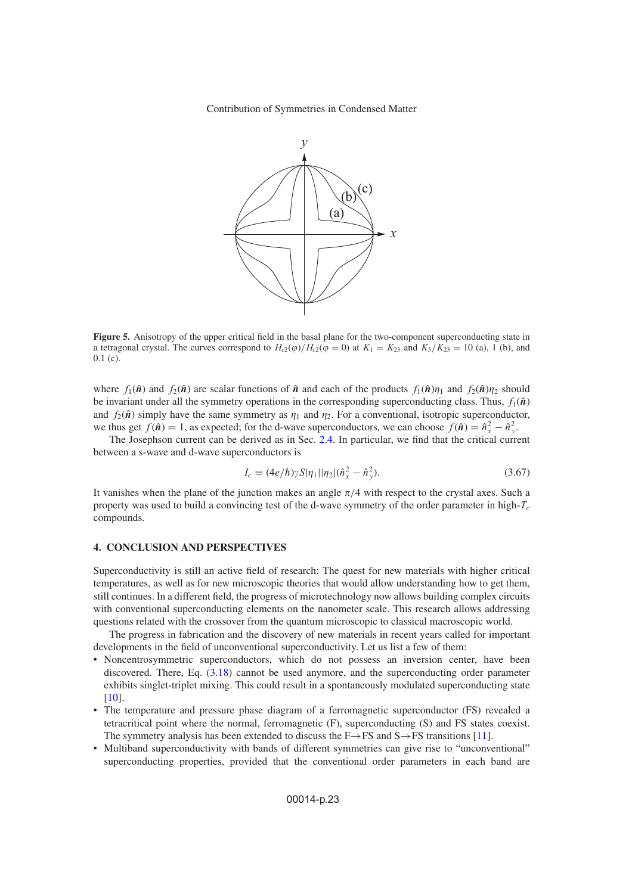<span id="page-22-1"></span>

**Figure 5.** Anisotropy of the upper critical field in the basal plane for the two-component superconducting state in a tetragonal crystal. The curves correspond to  $H_{c2}(\varphi)/H_{c2}(\varphi = 0)$  at  $K_1 = K_{23}$  and  $K_5/K_{23} = 10$  (a), 1 (b), and 0.1 (c).

where  $f_1(\hat{\bf{n}})$  and  $f_2(\hat{\bf{n}})$  are scalar functions of  $\hat{\bf{n}}$  and each of the products  $f_1(\hat{\bf{n}})\eta_1$  and  $f_2(\hat{\bf{n}})\eta_2$  should be invariant under all the symmetry operations in the corresponding superconducting class. Thus,  $f_1(\hat{\boldsymbol{n}})$ and  $f_2(\hat{\boldsymbol{n}})$  simply have the same symmetry as  $\eta_1$  and  $\eta_2$ . For a conventional, isotropic superconductor, we thus get  $f(\hat{\boldsymbol{n}}) = 1$ , as expected; for the d-wave superconductors, we can choose  $f(\hat{\boldsymbol{n}}) = \hat{n}_x^2 - \hat{n}_y^2$ .

The Josephson current can be derived as in Sec. [2.4.](#page-7-3) In particular, we find that the critical current between a s-wave and d-wave superconductors is

$$
I_c = (4e/\hbar)\gamma S|\eta_1||\eta_2|(\hat{n}_x^2 - \hat{n}_y^2). \tag{3.67}
$$

It vanishes when the plane of the junction makes an angle  $\pi/4$  with respect to the crystal axes. Such a property was used to build a convincing test of the d-wave symmetry of the order parameter in high- $T_c$ compounds.

## <span id="page-22-0"></span>**4. CONCLUSION AND PERSPECTIVES**

Superconductivity is still an active field of research: The quest for new materials with higher critical temperatures, as well as for new microscopic theories that would allow understanding how to get them, still continues. In a different field, the progress of microtechnology now allows building complex circuits with conventional superconducting elements on the nanometer scale. This research allows addressing questions related with the crossover from the quantum microscopic to classical macroscopic world.

The progress in fabrication and the discovery of new materials in recent years called for important developments in the field of unconventional superconductivity. Let us list a few of them:

- Noncentrosymmetric superconductors, which do not possess an inversion center, have been discovered. There, Eq. [\(3.18\)](#page-12-1) cannot be used anymore, and the superconducting order parameter exhibits singlet-triplet mixing. This could result in a spontaneously modulated superconducting state [\[10](#page-23-8)].
- The temperature and pressure phase diagram of a ferromagnetic superconductor (FS) revealed a tetracritical point where the normal, ferromagnetic (F), superconducting (S) and FS states coexist. The symmetry analysis has been extended to discuss the  $F \rightarrow FS$  and  $S \rightarrow FS$  transitions [\[11\]](#page-23-9).
- Multiband superconductivity with bands of different symmetries can give rise to "unconventional" superconducting properties, provided that the conventional order parameters in each band are